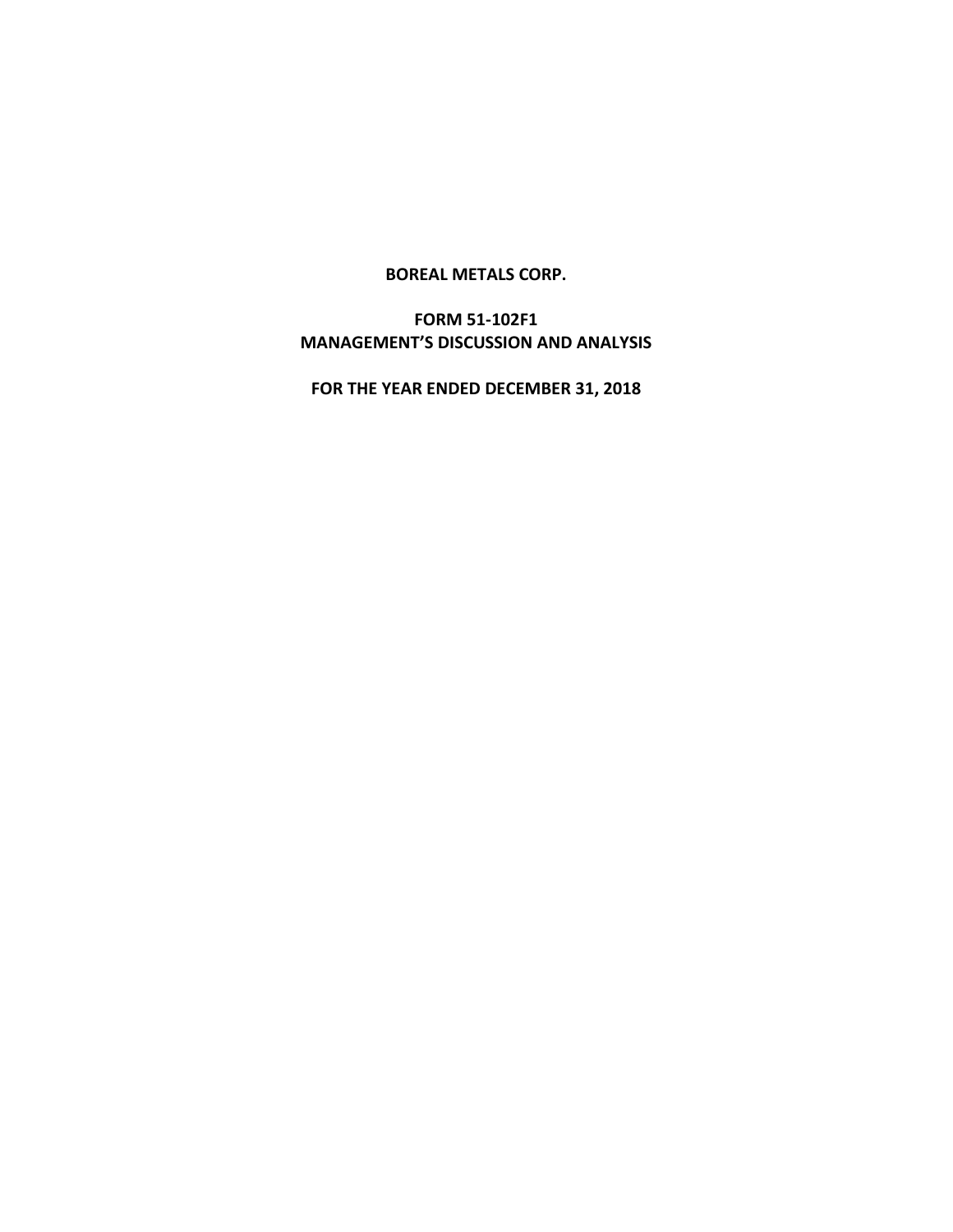#### **BOREAL METALS CORP.**

# **FORM 51-102F1 MANAGEMENT'S DISCUSSION AND ANALYSIS**

**FOR THE YEAR ENDED DECEMBER 31, 2018**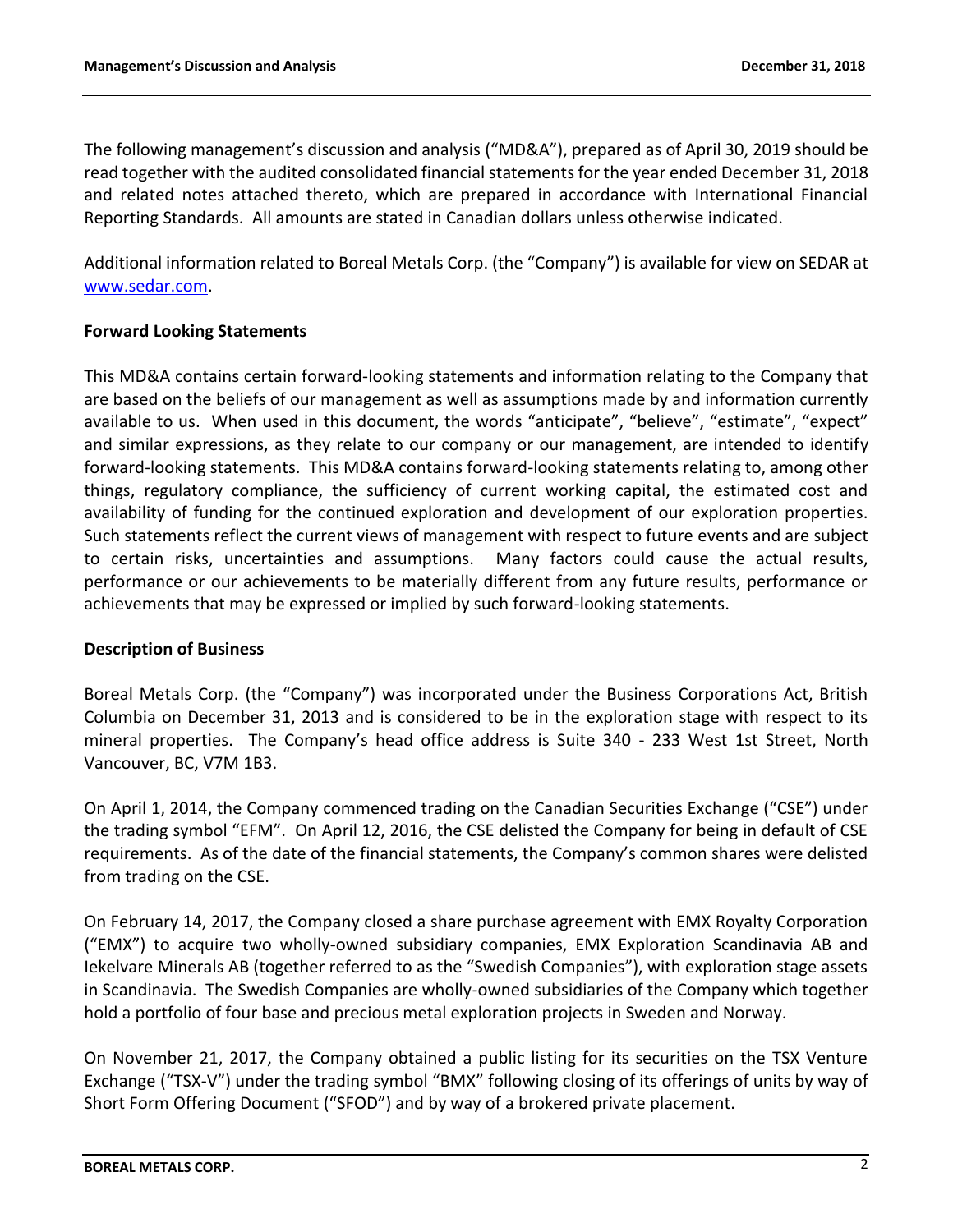The following management's discussion and analysis ("MD&A"), prepared as of April 30, 2019 should be read together with the audited consolidated financial statements for the year ended December 31, 2018 and related notes attached thereto, which are prepared in accordance with International Financial Reporting Standards. All amounts are stated in Canadian dollars unless otherwise indicated.

Additional information related to Boreal Metals Corp. (the "Company") is available for view on SEDAR at [www.sedar.com.](http://www.sedar.com/)

## **Forward Looking Statements**

This MD&A contains certain forward-looking statements and information relating to the Company that are based on the beliefs of our management as well as assumptions made by and information currently available to us. When used in this document, the words "anticipate", "believe", "estimate", "expect" and similar expressions, as they relate to our company or our management, are intended to identify forward-looking statements. This MD&A contains forward-looking statements relating to, among other things, regulatory compliance, the sufficiency of current working capital, the estimated cost and availability of funding for the continued exploration and development of our exploration properties. Such statements reflect the current views of management with respect to future events and are subject to certain risks, uncertainties and assumptions. Many factors could cause the actual results, performance or our achievements to be materially different from any future results, performance or achievements that may be expressed or implied by such forward-looking statements.

## **Description of Business**

Boreal Metals Corp. (the "Company") was incorporated under the Business Corporations Act, British Columbia on December 31, 2013 and is considered to be in the exploration stage with respect to its mineral properties. The Company's head office address is Suite 340 - 233 West 1st Street, North Vancouver, BC, V7M 1B3.

On April 1, 2014, the Company commenced trading on the Canadian Securities Exchange ("CSE") under the trading symbol "EFM". On April 12, 2016, the CSE delisted the Company for being in default of CSE requirements. As of the date of the financial statements, the Company's common shares were delisted from trading on the CSE.

On February 14, 2017, the Company closed a share purchase agreement with EMX Royalty Corporation ("EMX") to acquire two wholly-owned subsidiary companies, EMX Exploration Scandinavia AB and Iekelvare Minerals AB (together referred to as the "Swedish Companies"), with exploration stage assets in Scandinavia. The Swedish Companies are wholly-owned subsidiaries of the Company which together hold a portfolio of four base and precious metal exploration projects in Sweden and Norway.

On November 21, 2017, the Company obtained a public listing for its securities on the TSX Venture Exchange ("TSX-V") under the trading symbol "BMX" following closing of its offerings of units by way of Short Form Offering Document ("SFOD") and by way of a brokered private placement.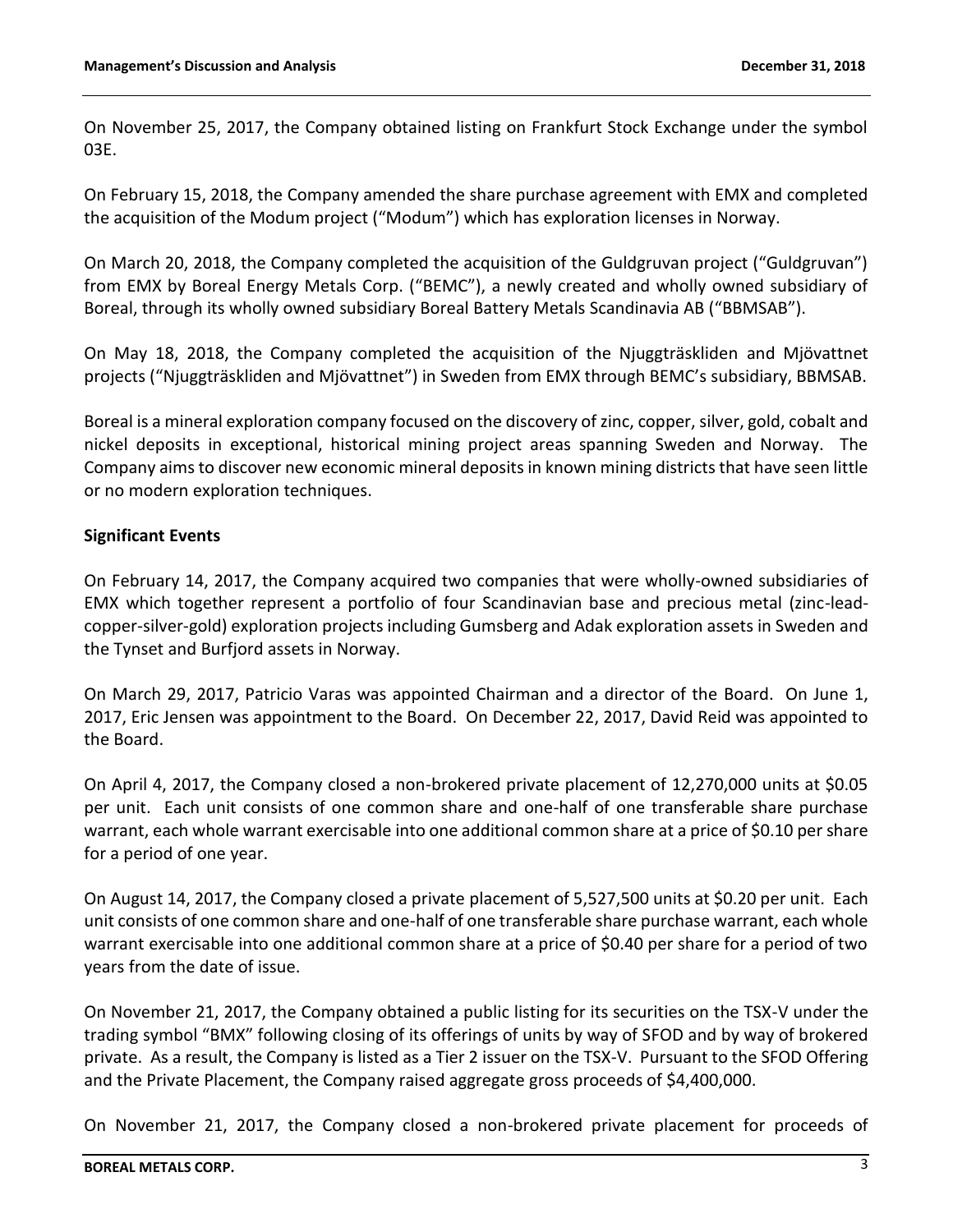On November 25, 2017, the Company obtained listing on Frankfurt Stock Exchange under the symbol 03E.

On February 15, 2018, the Company amended the share purchase agreement with EMX and completed the acquisition of the Modum project ("Modum") which has exploration licenses in Norway.

On March 20, 2018, the Company completed the acquisition of the Guldgruvan project ("Guldgruvan") from EMX by Boreal Energy Metals Corp. ("BEMC"), a newly created and wholly owned subsidiary of Boreal, through its wholly owned subsidiary Boreal Battery Metals Scandinavia AB ("BBMSAB").

On May 18, 2018, the Company completed the acquisition of the Njuggträskliden and Mjövattnet projects ("Njuggträskliden and Mjövattnet") in Sweden from EMX through BEMC's subsidiary, BBMSAB.

Boreal is a mineral exploration company focused on the discovery of zinc, copper, silver, gold, cobalt and nickel deposits in exceptional, historical mining project areas spanning Sweden and Norway. The Company aims to discover new economic mineral deposits in known mining districts that have seen little or no modern exploration techniques.

## **Significant Events**

On February 14, 2017, the Company acquired two companies that were wholly-owned subsidiaries of EMX which together represent a portfolio of four Scandinavian base and precious metal (zinc-leadcopper-silver-gold) exploration projects including Gumsberg and Adak exploration assets in Sweden and the Tynset and Burfjord assets in Norway.

On March 29, 2017, Patricio Varas was appointed Chairman and a director of the Board. On June 1, 2017, Eric Jensen was appointment to the Board. On December 22, 2017, David Reid was appointed to the Board.

On April 4, 2017, the Company closed a non-brokered private placement of 12,270,000 units at \$0.05 per unit. Each unit consists of one common share and one-half of one transferable share purchase warrant, each whole warrant exercisable into one additional common share at a price of \$0.10 per share for a period of one year.

On August 14, 2017, the Company closed a private placement of 5,527,500 units at \$0.20 per unit. Each unit consists of one common share and one-half of one transferable share purchase warrant, each whole warrant exercisable into one additional common share at a price of \$0.40 per share for a period of two years from the date of issue.

On November 21, 2017, the Company obtained a public listing for its securities on the TSX-V under the trading symbol "BMX" following closing of its offerings of units by way of SFOD and by way of brokered private. As a result, the Company is listed as a Tier 2 issuer on the TSX-V. Pursuant to the SFOD Offering and the Private Placement, the Company raised aggregate gross proceeds of \$4,400,000.

On November 21, 2017, the Company closed a non-brokered private placement for proceeds of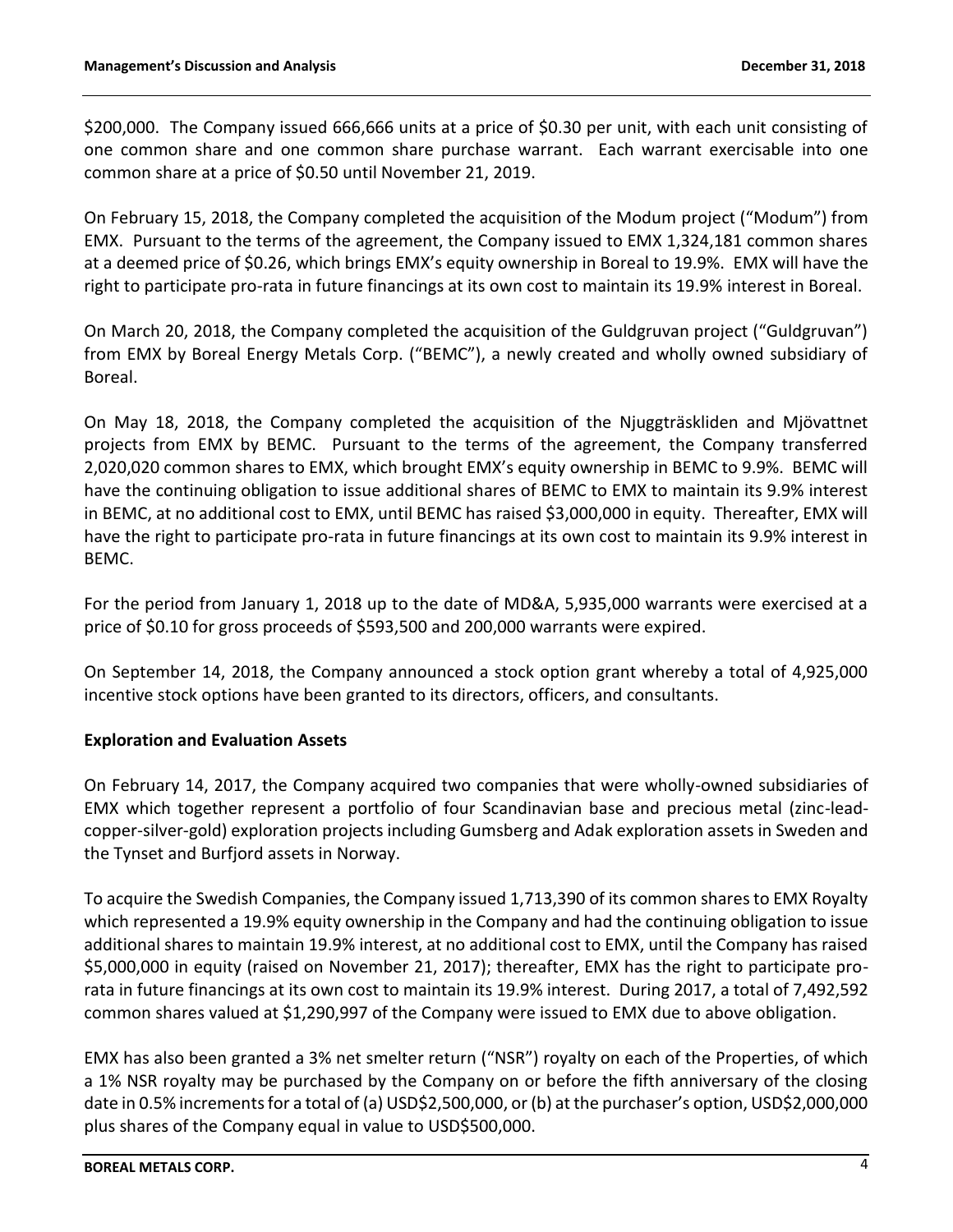\$200,000. The Company issued 666,666 units at a price of \$0.30 per unit, with each unit consisting of one common share and one common share purchase warrant. Each warrant exercisable into one common share at a price of \$0.50 until November 21, 2019.

On February 15, 2018, the Company completed the acquisition of the Modum project ("Modum") from EMX. Pursuant to the terms of the agreement, the Company issued to EMX 1,324,181 common shares at a deemed price of \$0.26, which brings EMX's equity ownership in Boreal to 19.9%. EMX will have the right to participate pro-rata in future financings at its own cost to maintain its 19.9% interest in Boreal.

On March 20, 2018, the Company completed the acquisition of the Guldgruvan project ("Guldgruvan") from EMX by Boreal Energy Metals Corp. ("BEMC"), a newly created and wholly owned subsidiary of Boreal.

On May 18, 2018, the Company completed the acquisition of the Njuggträskliden and Mjövattnet projects from EMX by BEMC. Pursuant to the terms of the agreement, the Company transferred 2,020,020 common shares to EMX, which brought EMX's equity ownership in BEMC to 9.9%. BEMC will have the continuing obligation to issue additional shares of BEMC to EMX to maintain its 9.9% interest in BEMC, at no additional cost to EMX, until BEMC has raised \$3,000,000 in equity. Thereafter, EMX will have the right to participate pro-rata in future financings at its own cost to maintain its 9.9% interest in BEMC.

For the period from January 1, 2018 up to the date of MD&A, 5,935,000 warrants were exercised at a price of \$0.10 for gross proceeds of \$593,500 and 200,000 warrants were expired.

On September 14, 2018, the Company announced a stock option grant whereby a total of 4,925,000 incentive stock options have been granted to its directors, officers, and consultants.

## **Exploration and Evaluation Assets**

On February 14, 2017, the Company acquired two companies that were wholly-owned subsidiaries of EMX which together represent a portfolio of four Scandinavian base and precious metal (zinc-leadcopper-silver-gold) exploration projects including Gumsberg and Adak exploration assets in Sweden and the Tynset and Burfjord assets in Norway.

To acquire the Swedish Companies, the Company issued 1,713,390 of its common shares to EMX Royalty which represented a 19.9% equity ownership in the Company and had the continuing obligation to issue additional shares to maintain 19.9% interest, at no additional cost to EMX, until the Company has raised \$5,000,000 in equity (raised on November 21, 2017); thereafter, EMX has the right to participate prorata in future financings at its own cost to maintain its 19.9% interest. During 2017, a total of 7,492,592 common shares valued at \$1,290,997 of the Company were issued to EMX due to above obligation.

EMX has also been granted a 3% net smelter return ("NSR") royalty on each of the Properties, of which a 1% NSR royalty may be purchased by the Company on or before the fifth anniversary of the closing date in 0.5% increments for a total of (a) USD\$2,500,000, or (b) at the purchaser's option, USD\$2,000,000 plus shares of the Company equal in value to USD\$500,000.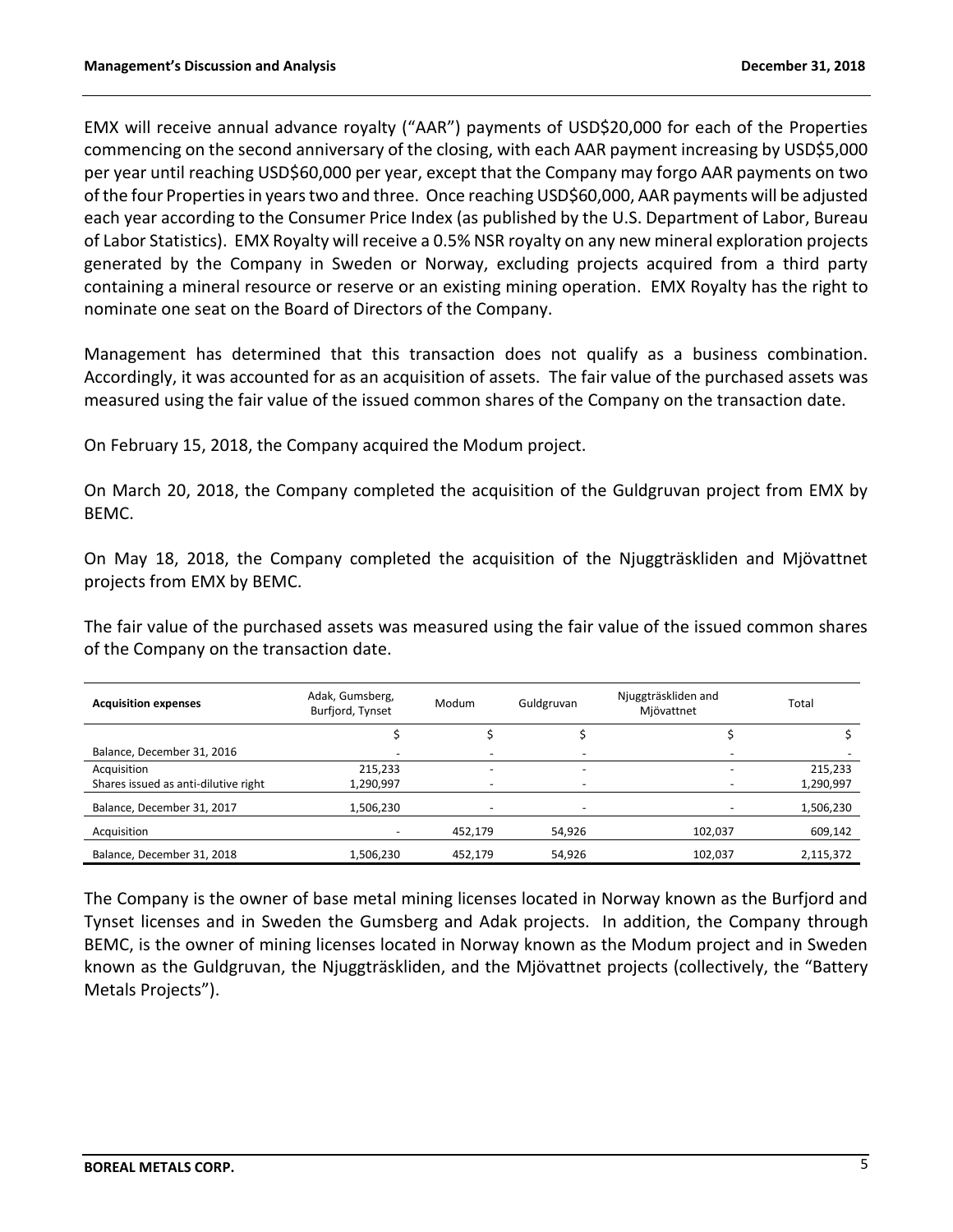EMX will receive annual advance royalty ("AAR") payments of USD\$20,000 for each of the Properties commencing on the second anniversary of the closing, with each AAR payment increasing by USD\$5,000 per year until reaching USD\$60,000 per year, except that the Company may forgo AAR payments on two of the four Properties in years two and three. Once reaching USD\$60,000, AAR payments will be adjusted each year according to the Consumer Price Index (as published by the U.S. Department of Labor, Bureau of Labor Statistics). EMX Royalty will receive a 0.5% NSR royalty on any new mineral exploration projects generated by the Company in Sweden or Norway, excluding projects acquired from a third party containing a mineral resource or reserve or an existing mining operation. EMX Royalty has the right to nominate one seat on the Board of Directors of the Company.

Management has determined that this transaction does not qualify as a business combination. Accordingly, it was accounted for as an acquisition of assets. The fair value of the purchased assets was measured using the fair value of the issued common shares of the Company on the transaction date.

On February 15, 2018, the Company acquired the Modum project.

On March 20, 2018, the Company completed the acquisition of the Guldgruvan project from EMX by BEMC.

On May 18, 2018, the Company completed the acquisition of the Njuggträskliden and Mjövattnet projects from EMX by BEMC.

The fair value of the purchased assets was measured using the fair value of the issued common shares of the Company on the transaction date.

| <b>Acquisition expenses</b>          | Adak, Gumsberg,<br>Burfjord, Tynset | Guldgruvan<br>Modum      |        | Njuggträskliden and<br>Mjövattnet | Total     |
|--------------------------------------|-------------------------------------|--------------------------|--------|-----------------------------------|-----------|
|                                      |                                     |                          |        |                                   |           |
| Balance, December 31, 2016           |                                     |                          |        |                                   |           |
| Acquisition                          | 215,233                             | $\overline{\phantom{a}}$ | -      |                                   | 215,233   |
| Shares issued as anti-dilutive right | 1,290,997                           |                          |        |                                   | 1,290,997 |
| Balance, December 31, 2017           | 1,506,230                           |                          |        |                                   | 1,506,230 |
| Acquisition                          |                                     | 452,179                  | 54,926 | 102,037                           | 609,142   |
| Balance, December 31, 2018           | 1,506,230                           | 452,179                  | 54,926 | 102,037                           | 2,115,372 |

The Company is the owner of base metal mining licenses located in Norway known as the Burfjord and Tynset licenses and in Sweden the Gumsberg and Adak projects. In addition, the Company through BEMC, is the owner of mining licenses located in Norway known as the Modum project and in Sweden known as the Guldgruvan, the Njuggträskliden, and the Mjövattnet projects (collectively, the "Battery Metals Projects").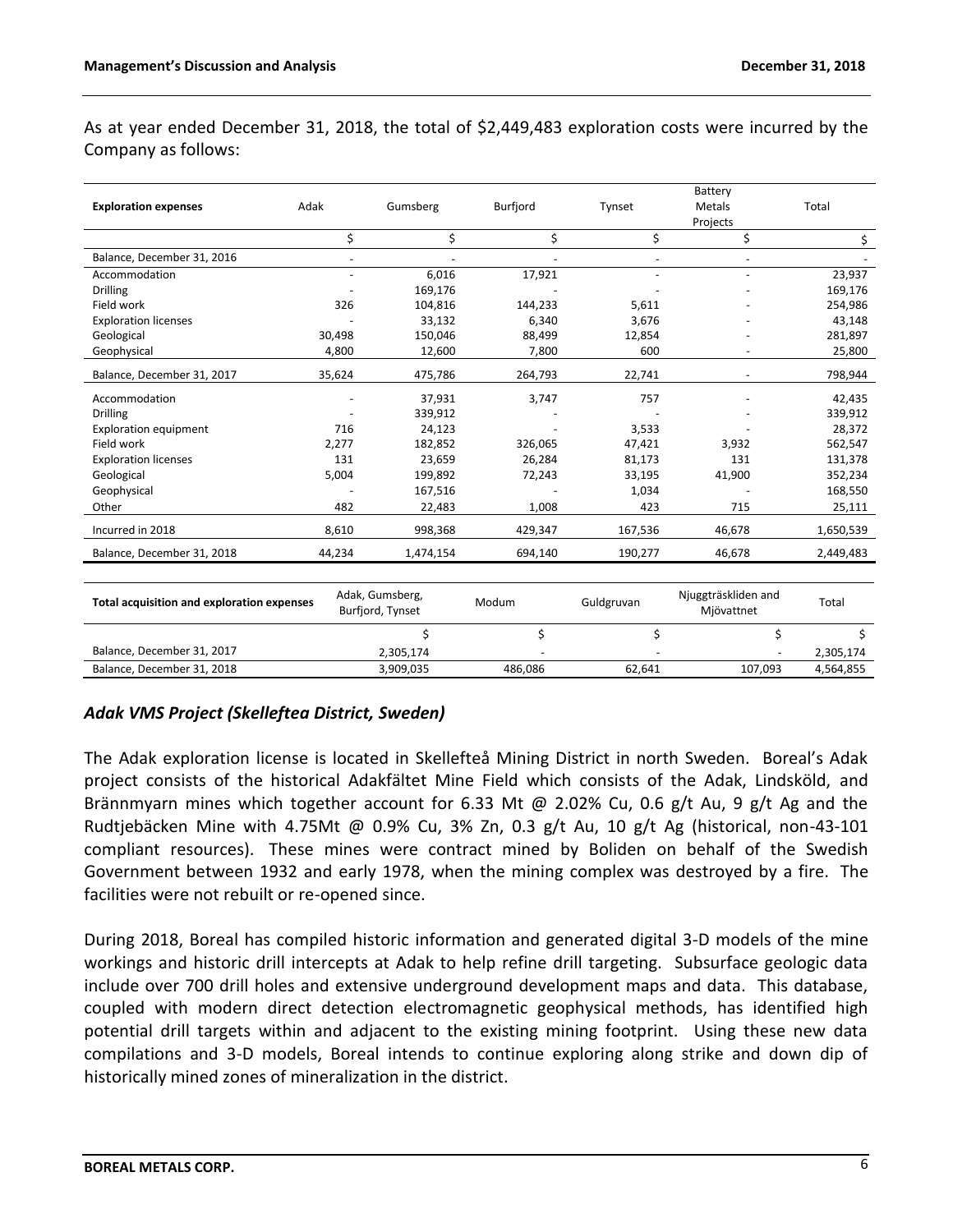As at year ended December 31, 2018, the total of \$2,449,483 exploration costs were incurred by the Company as follows:

|                                            |                          |                                     |                 |                          | Battery                           |           |
|--------------------------------------------|--------------------------|-------------------------------------|-----------------|--------------------------|-----------------------------------|-----------|
| <b>Exploration expenses</b>                | Adak                     | Gumsberg                            | <b>Burfjord</b> | Tynset                   | Metals                            | Total     |
|                                            |                          |                                     |                 |                          | Projects                          |           |
|                                            | \$                       | \$                                  | \$              | \$                       | \$                                | \$        |
| Balance, December 31, 2016                 | $\overline{\phantom{a}}$ |                                     |                 | $\overline{\phantom{a}}$ | $\overline{\phantom{a}}$          |           |
| Accommodation                              | ÷,                       | 6,016                               | 17,921          |                          |                                   | 23,937    |
| <b>Drilling</b>                            |                          | 169,176                             |                 |                          |                                   | 169,176   |
| Field work                                 | 326                      | 104,816                             | 144,233         | 5,611                    |                                   | 254,986   |
| <b>Exploration licenses</b>                |                          | 33,132                              | 6,340           | 3,676                    |                                   | 43,148    |
| Geological                                 | 30,498                   | 150,046                             | 88,499          | 12,854                   |                                   | 281,897   |
| Geophysical                                | 4,800                    | 12,600                              | 7,800           | 600                      |                                   | 25,800    |
| Balance, December 31, 2017                 | 35,624                   | 475,786                             | 264,793         | 22,741                   |                                   | 798,944   |
| Accommodation                              |                          | 37,931                              | 3,747           | 757                      |                                   | 42,435    |
| <b>Drilling</b>                            |                          | 339,912                             |                 |                          |                                   | 339,912   |
| <b>Exploration equipment</b>               | 716                      | 24,123                              |                 | 3,533                    |                                   | 28,372    |
| Field work                                 | 2,277                    | 182,852                             | 326,065         | 47,421                   | 3,932                             | 562,547   |
| <b>Exploration licenses</b>                | 131                      | 23,659                              | 26,284          | 81,173                   | 131                               | 131,378   |
| Geological                                 | 5,004                    | 199,892                             | 72,243          | 33,195                   | 41,900                            | 352,234   |
| Geophysical                                |                          | 167,516                             |                 | 1,034                    |                                   | 168,550   |
| Other                                      | 482                      | 22,483                              | 1,008           | 423                      | 715                               | 25,111    |
| Incurred in 2018                           | 8,610                    | 998,368                             | 429,347         | 167,536                  | 46,678                            | 1,650,539 |
| Balance, December 31, 2018                 | 44,234                   | 1,474,154                           | 694,140         | 190,277                  | 46,678                            | 2,449,483 |
|                                            |                          |                                     |                 |                          |                                   |           |
| Total acquisition and exploration expenses |                          | Adak, Gumsberg,<br>Burfjord, Tynset | Modum           | Guldgruvan               | Njuggträskliden and<br>Mjövattnet | Total     |
|                                            |                          | \$                                  | \$              | \$                       | \$                                | \$        |
| Balance, December 31, 2017                 |                          | 2,305,174                           |                 |                          |                                   | 2,305,174 |
| Balance, December 31, 2018                 |                          | 3,909,035                           | 486,086         | 62,641                   | 107,093                           | 4,564,855 |
|                                            |                          |                                     |                 |                          |                                   |           |

# *Adak VMS Project (Skelleftea District, Sweden)*

The Adak exploration license is located in Skellefteå Mining District in north Sweden. Boreal's Adak project consists of the historical Adakfältet Mine Field which consists of the Adak, Lindsköld, and Brännmyarn mines which together account for 6.33 Mt @ 2.02% Cu, 0.6 g/t Au, 9 g/t Ag and the Rudtjebäcken Mine with 4.75Mt @ 0.9% Cu, 3% Zn, 0.3 g/t Au, 10 g/t Ag (historical, non-43-101 compliant resources). These mines were contract mined by Boliden on behalf of the Swedish Government between 1932 and early 1978, when the mining complex was destroyed by a fire. The facilities were not rebuilt or re-opened since.

During 2018, Boreal has compiled historic information and generated digital 3-D models of the mine workings and historic drill intercepts at Adak to help refine drill targeting. Subsurface geologic data include over 700 drill holes and extensive underground development maps and data. This database, coupled with modern direct detection electromagnetic geophysical methods, has identified high potential drill targets within and adjacent to the existing mining footprint. Using these new data compilations and 3-D models, Boreal intends to continue exploring along strike and down dip of historically mined zones of mineralization in the district.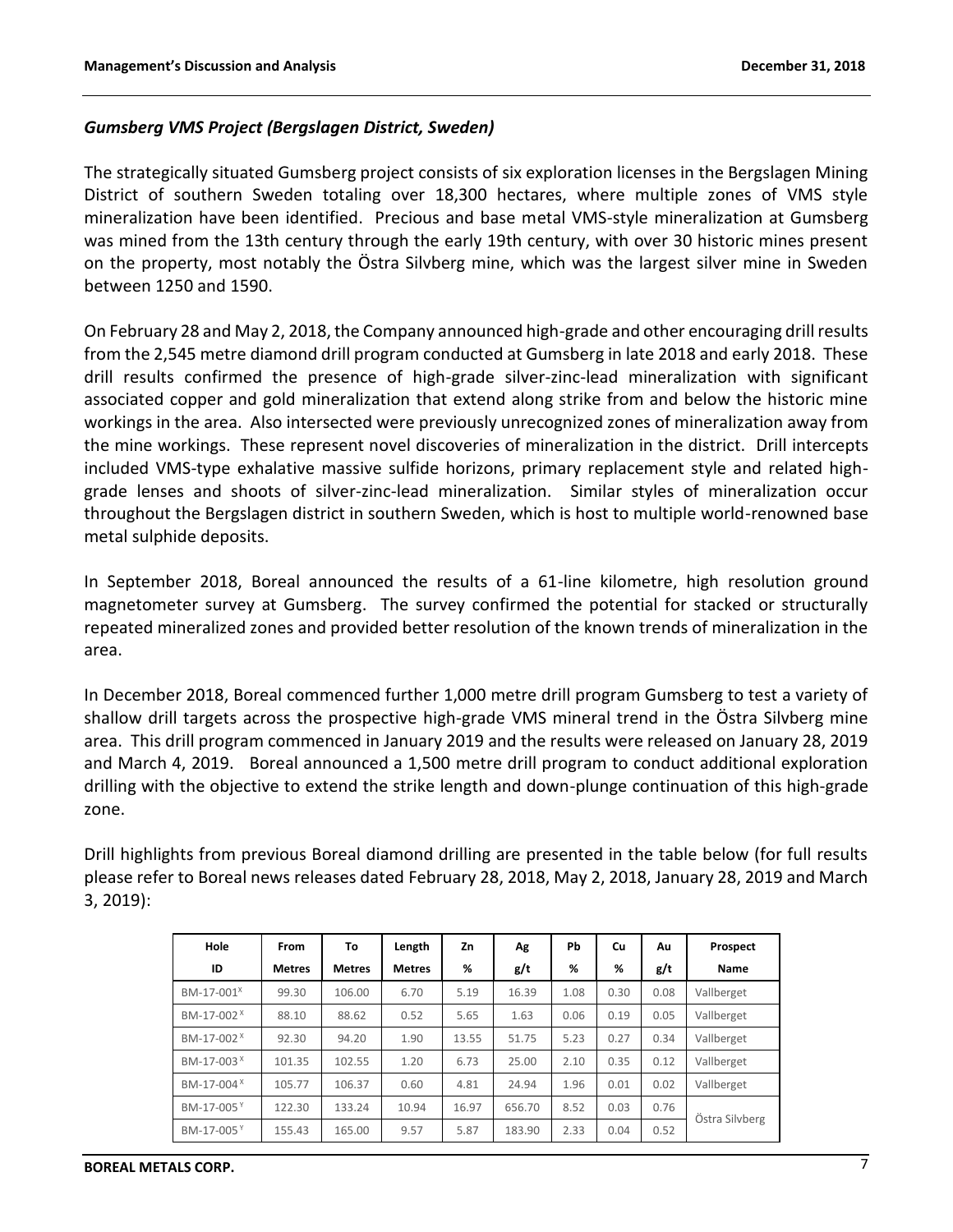## *Gumsberg VMS Project (Bergslagen District, Sweden)*

The strategically situated Gumsberg project consists of six exploration licenses in the Bergslagen Mining District of southern Sweden totaling over 18,300 hectares, where multiple zones of VMS style mineralization have been identified. Precious and base metal VMS-style mineralization at Gumsberg was mined from the 13th century through the early 19th century, with over 30 historic mines present on the property, most notably the Östra Silvberg mine, which was the largest silver mine in Sweden between 1250 and 1590.

On February 28 and May 2, 2018, the Company announced high-grade and other encouraging drill results from the 2,545 metre diamond drill program conducted at Gumsberg in late 2018 and early 2018. These drill results confirmed the presence of high-grade silver-zinc-lead mineralization with significant associated copper and gold mineralization that extend along strike from and below the historic mine workings in the area. Also intersected were previously unrecognized zones of mineralization away from the mine workings. These represent novel discoveries of mineralization in the district. Drill intercepts included VMS-type exhalative massive sulfide horizons, primary replacement style and related highgrade lenses and shoots of silver-zinc-lead mineralization. Similar styles of mineralization occur throughout the Bergslagen district in southern Sweden, which is host to multiple world-renowned base metal sulphide deposits.

In September 2018, Boreal announced the results of a 61-line kilometre, high resolution ground magnetometer survey at Gumsberg. The survey confirmed the potential for stacked or structurally repeated mineralized zones and provided better resolution of the known trends of mineralization in the area.

In December 2018, Boreal commenced further 1,000 metre drill program Gumsberg to test a variety of shallow drill targets across the prospective high-grade VMS mineral trend in the Östra Silvberg mine area. This drill program commenced in January 2019 and the results were released on January 28, 2019 and March 4, 2019. Boreal announced a 1,500 metre drill program to conduct additional exploration drilling with the objective to extend the strike length and down-plunge continuation of this high-grade zone.

Drill highlights from previous Boreal diamond drilling are presented in the table below (for full results please refer to Boreal news releases dated February 28, 2018, May 2, 2018, January 28, 2019 and March 3, 2019):

| Hole                   | From          | To            | Length        | Zn    | Λg     | Pb   | Cu   | Au   | Prospect       |  |
|------------------------|---------------|---------------|---------------|-------|--------|------|------|------|----------------|--|
| ID                     | <b>Metres</b> | <b>Metres</b> | <b>Metres</b> | %     | g/t    | %    | %    | g/t  | Name           |  |
| BM-17-001 <sup>X</sup> | 99.30         | 106.00        | 6.70          | 5.19  | 16.39  | 1.08 | 0.30 | 0.08 | Vallberget     |  |
| BM-17-002 <sup>X</sup> | 88.10         | 88.62         | 0.52          | 5.65  | 1.63   | 0.06 | 0.19 | 0.05 | Vallberget     |  |
| BM-17-002 <sup>×</sup> | 92.30         | 94.20         | 1.90          | 13.55 | 51.75  | 5.23 | 0.27 | 0.34 | Vallberget     |  |
| BM-17-003 <sup>X</sup> | 101.35        | 102.55        | 1.20          | 6.73  | 25.00  | 2.10 | 0.35 | 0.12 | Vallberget     |  |
| BM-17-004 <sup>X</sup> | 105.77        | 106.37        | 0.60          | 4.81  | 24.94  | 1.96 | 0.01 | 0.02 | Vallberget     |  |
| BM-17-005 <sup>Y</sup> | 122.30        | 133.24        | 10.94         | 16.97 | 656.70 | 8.52 | 0.03 | 0.76 | Östra Silvberg |  |
| BM-17-005Y             | 155.43        | 165.00        | 9.57          | 5.87  | 183.90 | 2.33 | 0.04 | 0.52 |                |  |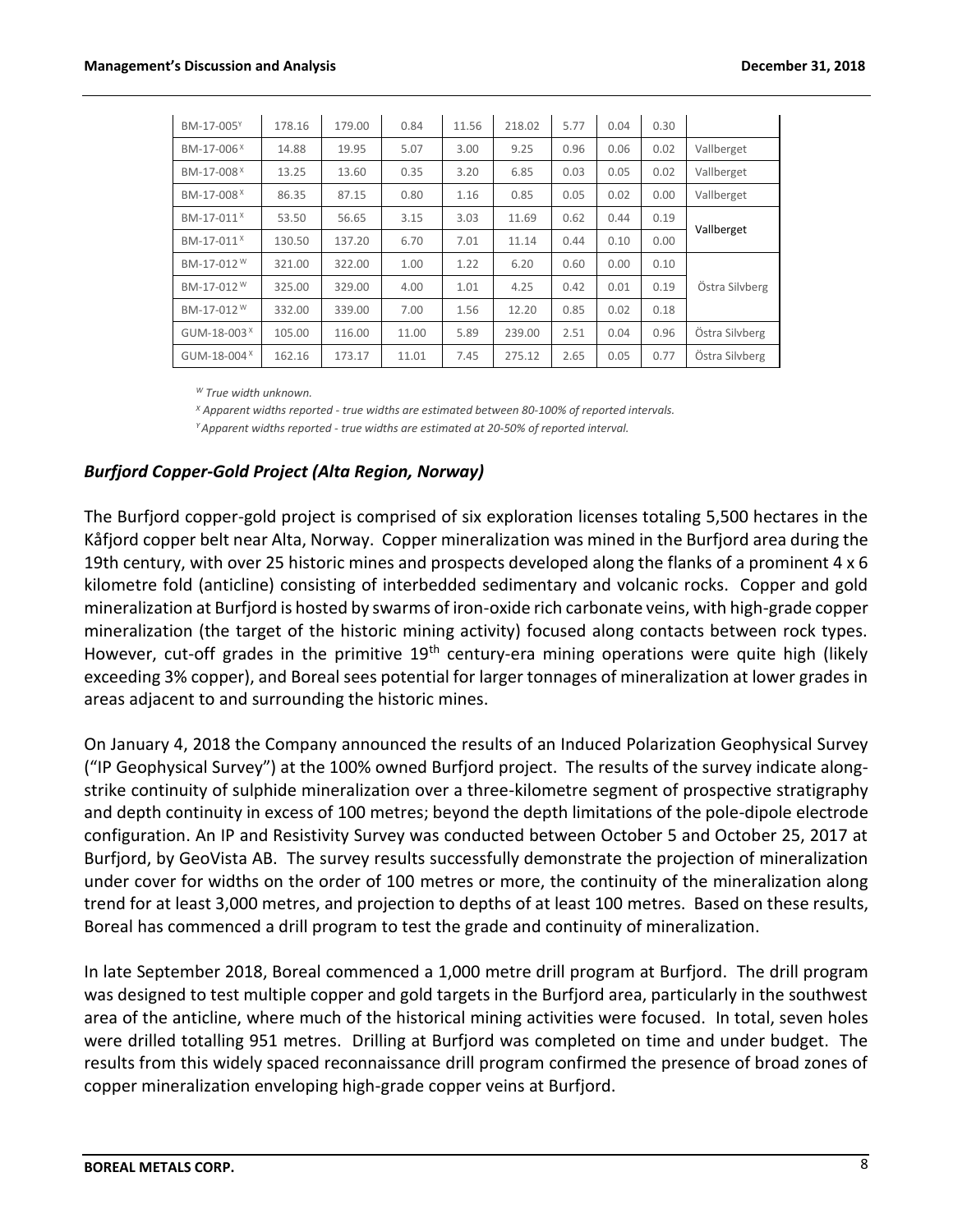| BM-17-005Y               | 178.16 | 179.00 | 0.84  | 11.56 | 218.02 | 5.77 | 0.04 | 0.30 |                |  |
|--------------------------|--------|--------|-------|-------|--------|------|------|------|----------------|--|
| BM-17-006 <sup>X</sup>   | 14.88  | 19.95  | 5.07  | 3.00  | 9.25   | 0.96 | 0.06 | 0.02 | Vallberget     |  |
| BM-17-008 <sup>X</sup>   | 13.25  | 13.60  | 0.35  | 3.20  | 6.85   | 0.03 | 0.05 | 0.02 | Vallberget     |  |
| BM-17-008 <sup>X</sup>   | 86.35  | 87.15  | 0.80  | 1.16  | 0.85   | 0.05 | 0.02 | 0.00 | Vallberget     |  |
| BM-17-011 <sup>X</sup>   | 53.50  | 56.65  | 3.15  | 3.03  | 11.69  | 0.62 | 0.44 | 0.19 | Vallberget     |  |
| BM-17-011 <sup>X</sup>   | 130.50 | 137.20 | 6.70  | 7.01  | 11.14  | 0.44 | 0.10 | 0.00 |                |  |
| BM-17-012 <sup>W</sup>   | 321.00 | 322.00 | 1.00  | 1.22  | 6.20   | 0.60 | 0.00 | 0.10 |                |  |
| BM-17-012 <sup>W</sup>   | 325.00 | 329.00 | 4.00  | 1.01  | 4.25   | 0.42 | 0.01 | 0.19 | Östra Silvberg |  |
| BM-17-012 <sup>W</sup>   | 332.00 | 339.00 | 7.00  | 1.56  | 12.20  | 0.85 | 0.02 | 0.18 |                |  |
| GUM-18-003 $^{\text{X}}$ | 105.00 | 116.00 | 11.00 | 5.89  | 239.00 | 2.51 | 0.04 | 0.96 | Östra Silvberg |  |
| GUM-18-004 <sup>X</sup>  | 162.16 | 173.17 | 11.01 | 7.45  | 275.12 | 2.65 | 0.05 | 0.77 | Östra Silvberg |  |

*<sup>W</sup> True width unknown.*

*<sup>X</sup> Apparent widths reported - true widths are estimated between 80-100% of reported intervals. <sup>Y</sup>Apparent widths reported - true widths are estimated at 20-50% of reported interval.*

## *Burfjord Copper-Gold Project (Alta Region, Norway)*

The Burfjord copper-gold project is comprised of six exploration licenses totaling 5,500 hectares in the Kåfjord copper belt near Alta, Norway. Copper mineralization was mined in the Burfjord area during the 19th century, with over 25 historic mines and prospects developed along the flanks of a prominent 4 x 6 kilometre fold (anticline) consisting of interbedded sedimentary and volcanic rocks. Copper and gold mineralization at Burfjord is hosted by swarms of iron-oxide rich carbonate veins, with high-grade copper mineralization (the target of the historic mining activity) focused along contacts between rock types. However, cut-off grades in the primitive  $19<sup>th</sup>$  century-era mining operations were quite high (likely exceeding 3% copper), and Boreal sees potential for larger tonnages of mineralization at lower grades in areas adjacent to and surrounding the historic mines.

On January 4, 2018 the Company announced the results of an Induced Polarization Geophysical Survey ("IP Geophysical Survey") at the 100% owned Burfjord project. The results of the survey indicate alongstrike continuity of sulphide mineralization over a three-kilometre segment of prospective stratigraphy and depth continuity in excess of 100 metres; beyond the depth limitations of the pole-dipole electrode configuration. An IP and Resistivity Survey was conducted between October 5 and October 25, 2017 at Burfjord, by GeoVista AB. The survey results successfully demonstrate the projection of mineralization under cover for widths on the order of 100 metres or more, the continuity of the mineralization along trend for at least 3,000 metres, and projection to depths of at least 100 metres. Based on these results, Boreal has commenced a drill program to test the grade and continuity of mineralization.

In late September 2018, Boreal commenced a 1,000 metre drill program at Burfjord. The drill program was designed to test multiple copper and gold targets in the Burfjord area, particularly in the southwest area of the anticline, where much of the historical mining activities were focused. In total, seven holes were drilled totalling 951 metres. Drilling at Burfjord was completed on time and under budget. The results from this widely spaced reconnaissance drill program confirmed the presence of broad zones of copper mineralization enveloping high-grade copper veins at Burfjord.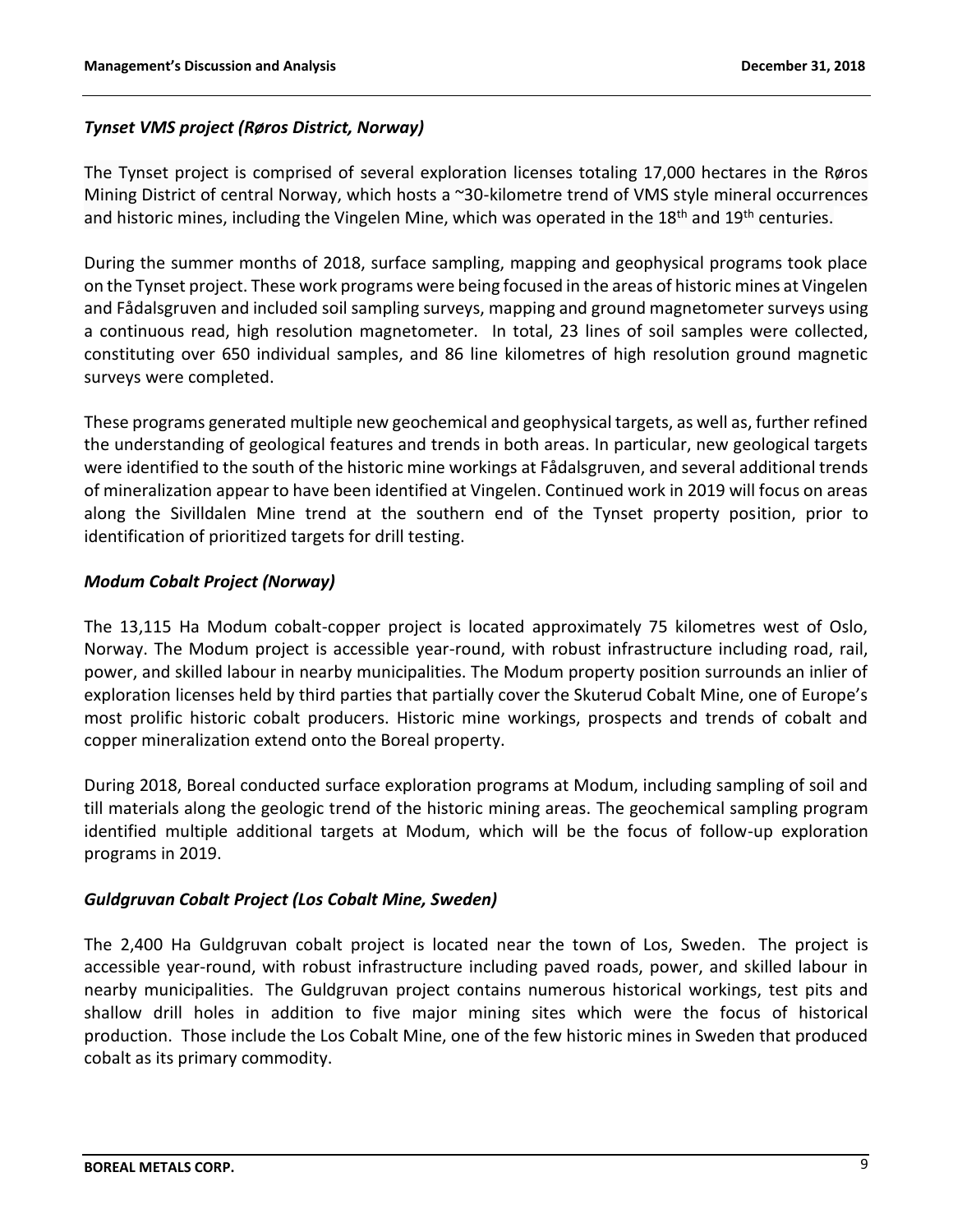# *Tynset VMS project (Røros District, Norway)*

The Tynset project is comprised of several exploration licenses totaling 17,000 hectares in the Røros Mining District of central Norway, which hosts a ~30-kilometre trend of VMS style mineral occurrences and historic mines, including the Vingelen Mine, which was operated in the  $18<sup>th</sup>$  and  $19<sup>th</sup>$  centuries.

During the summer months of 2018, surface sampling, mapping and geophysical programs took place on the Tynset project. These work programs were being focused in the areas of historic mines at Vingelen and Fådalsgruven and included soil sampling surveys, mapping and ground magnetometer surveys using a continuous read, high resolution magnetometer. In total, 23 lines of soil samples were collected, constituting over 650 individual samples, and 86 line kilometres of high resolution ground magnetic surveys were completed.

These programs generated multiple new geochemical and geophysical targets, as well as, further refined the understanding of geological features and trends in both areas. In particular, new geological targets were identified to the south of the historic mine workings at Fådalsgruven, and several additional trends of mineralization appear to have been identified at Vingelen. Continued work in 2019 will focus on areas along the Sivilldalen Mine trend at the southern end of the Tynset property position, prior to identification of prioritized targets for drill testing.

# *Modum Cobalt Project (Norway)*

The 13,115 Ha Modum cobalt-copper project is located approximately 75 kilometres west of Oslo, Norway. The Modum project is accessible year-round, with robust infrastructure including road, rail, power, and skilled labour in nearby municipalities. The Modum property position surrounds an inlier of exploration licenses held by third parties that partially cover the Skuterud Cobalt Mine, one of Europe's most prolific historic cobalt producers. Historic mine workings, prospects and trends of cobalt and copper mineralization extend onto the Boreal property.

During 2018, Boreal conducted surface exploration programs at Modum, including sampling of soil and till materials along the geologic trend of the historic mining areas. The geochemical sampling program identified multiple additional targets at Modum, which will be the focus of follow-up exploration programs in 2019.

## *Guldgruvan Cobalt Project (Los Cobalt Mine, Sweden)*

The 2,400 Ha Guldgruvan cobalt project is located near the town of Los, Sweden. The project is accessible year-round, with robust infrastructure including paved roads, power, and skilled labour in nearby municipalities. The Guldgruvan project contains numerous historical workings, test pits and shallow drill holes in addition to five major mining sites which were the focus of historical production. Those include the Los Cobalt Mine, one of the few historic mines in Sweden that produced cobalt as its primary commodity.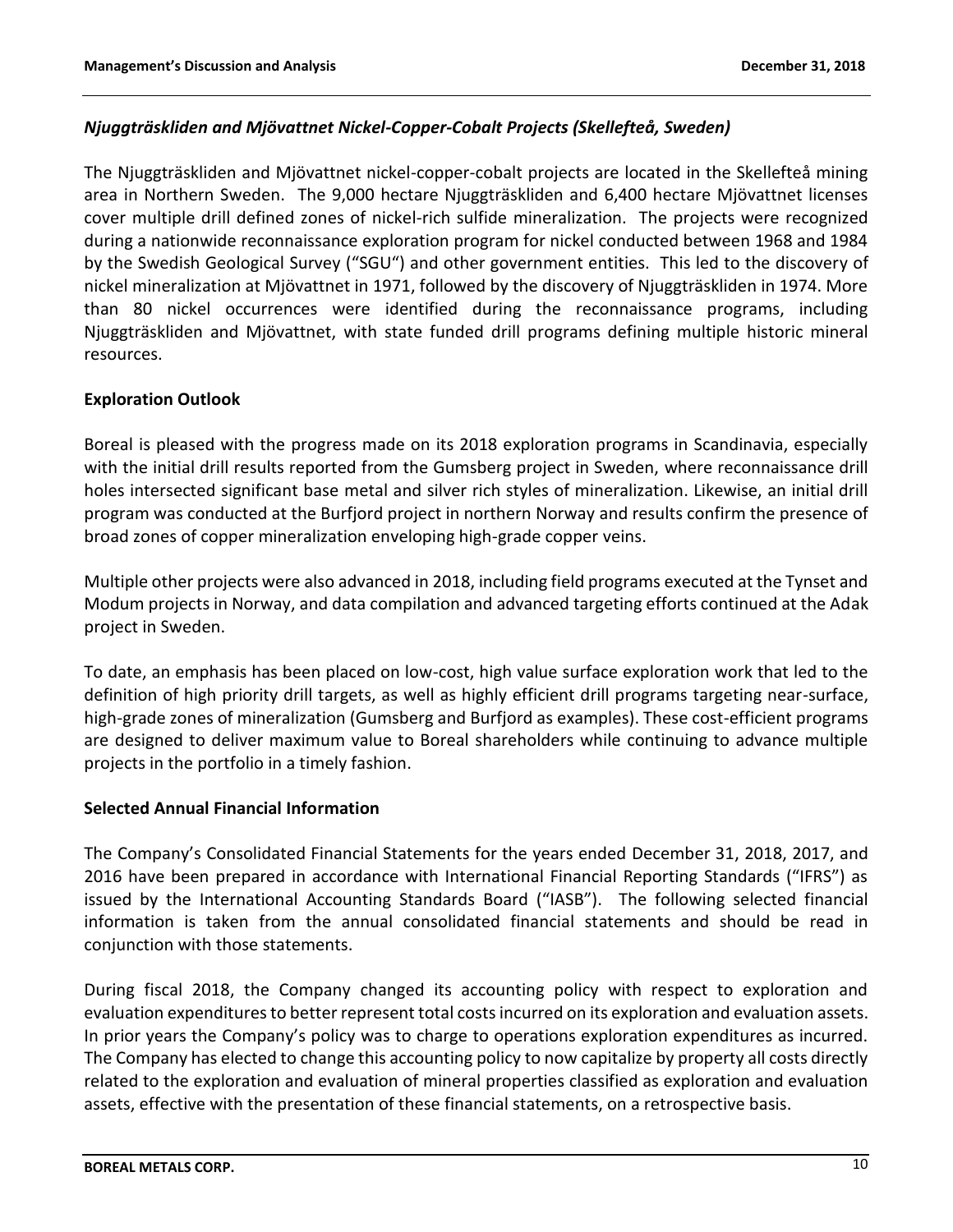# *Njuggträskliden and Mjövattnet Nickel-Copper-Cobalt Projects (Skellefteå, Sweden)*

The Njuggträskliden and Mjövattnet nickel-copper-cobalt projects are located in the Skellefteå mining area in Northern Sweden. The 9,000 hectare Njuggträskliden and 6,400 hectare Mjövattnet licenses cover multiple drill defined zones of nickel-rich sulfide mineralization. The projects were recognized during a nationwide reconnaissance exploration program for nickel conducted between 1968 and 1984 by the Swedish Geological Survey ("SGU") and other government entities. This led to the discovery of nickel mineralization at Mjövattnet in 1971, followed by the discovery of Njuggträskliden in 1974. More than 80 nickel occurrences were identified during the reconnaissance programs, including Njuggträskliden and Mjövattnet, with state funded drill programs defining multiple historic mineral resources.

# **Exploration Outlook**

Boreal is pleased with the progress made on its 2018 exploration programs in Scandinavia, especially with the initial drill results reported from the Gumsberg project in Sweden, where reconnaissance drill holes intersected significant base metal and silver rich styles of mineralization. Likewise, an initial drill program was conducted at the Burfjord project in northern Norway and results confirm the presence of broad zones of copper mineralization enveloping high-grade copper veins.

Multiple other projects were also advanced in 2018, including field programs executed at the Tynset and Modum projects in Norway, and data compilation and advanced targeting efforts continued at the Adak project in Sweden.

To date, an emphasis has been placed on low-cost, high value surface exploration work that led to the definition of high priority drill targets, as well as highly efficient drill programs targeting near-surface, high-grade zones of mineralization (Gumsberg and Burfjord as examples). These cost-efficient programs are designed to deliver maximum value to Boreal shareholders while continuing to advance multiple projects in the portfolio in a timely fashion.

## **Selected Annual Financial Information**

The Company's Consolidated Financial Statements for the years ended December 31, 2018, 2017, and 2016 have been prepared in accordance with International Financial Reporting Standards ("IFRS") as issued by the International Accounting Standards Board ("IASB"). The following selected financial information is taken from the annual consolidated financial statements and should be read in conjunction with those statements.

During fiscal 2018, the Company changed its accounting policy with respect to exploration and evaluation expenditures to better represent total costs incurred on its exploration and evaluation assets. In prior years the Company's policy was to charge to operations exploration expenditures as incurred. The Company has elected to change this accounting policy to now capitalize by property all costs directly related to the exploration and evaluation of mineral properties classified as exploration and evaluation assets, effective with the presentation of these financial statements, on a retrospective basis.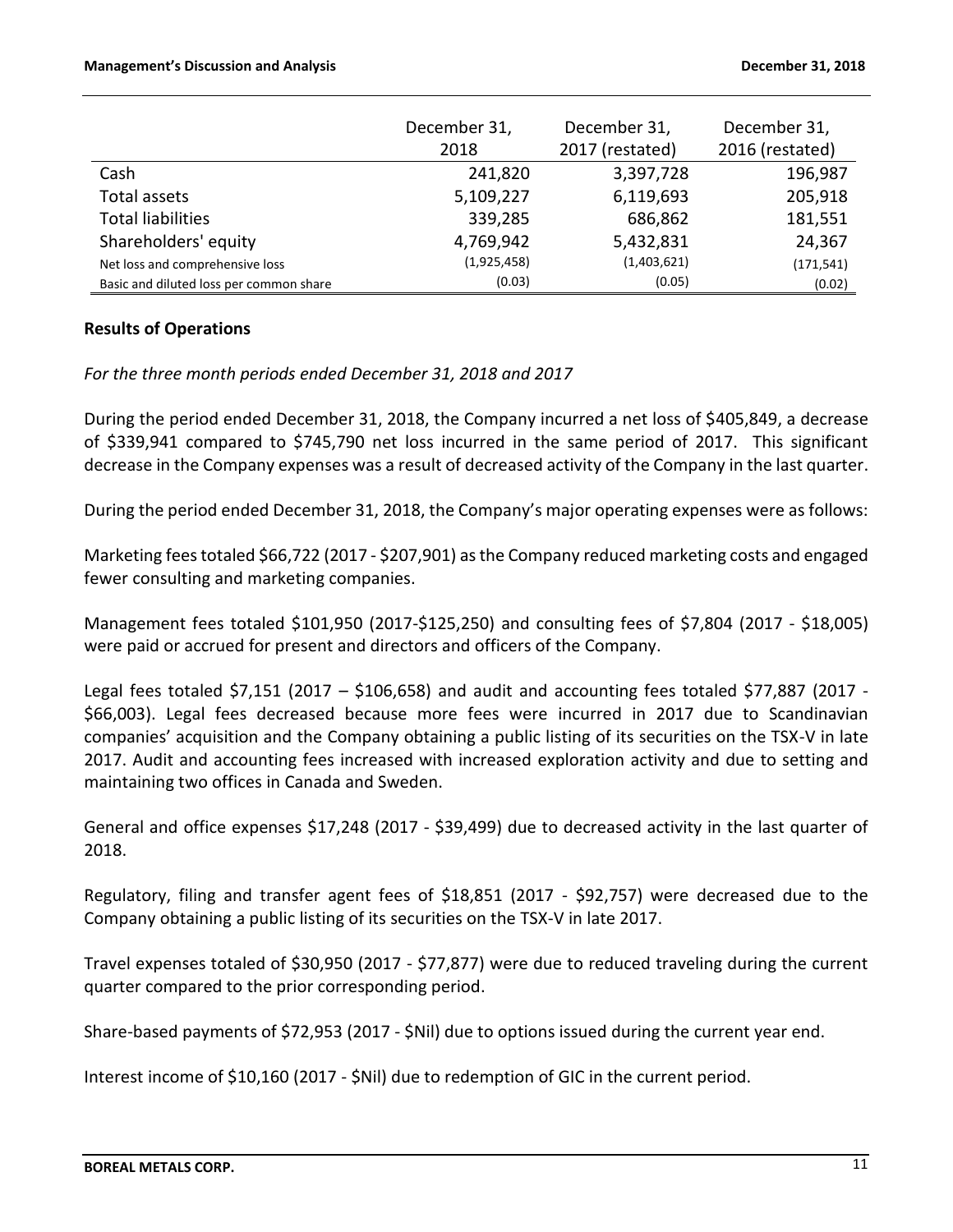|                                         | December 31,<br>2018 | December 31,<br>2017 (restated) | December 31,<br>2016 (restated) |
|-----------------------------------------|----------------------|---------------------------------|---------------------------------|
| Cash                                    | 241,820              | 3,397,728                       | 196,987                         |
| Total assets                            | 5,109,227            | 6,119,693                       | 205,918                         |
| <b>Total liabilities</b>                | 339,285              | 686,862                         | 181,551                         |
| Shareholders' equity                    | 4,769,942            | 5,432,831                       | 24,367                          |
| Net loss and comprehensive loss         | (1,925,458)          | (1,403,621)                     | (171, 541)                      |
| Basic and diluted loss per common share | (0.03)               | (0.05)                          | (0.02)                          |

## **Results of Operations**

*For the three month periods ended December 31, 2018 and 2017*

During the period ended December 31, 2018, the Company incurred a net loss of \$405,849, a decrease of \$339,941 compared to \$745,790 net loss incurred in the same period of 2017. This significant decrease in the Company expenses was a result of decreased activity of the Company in the last quarter.

During the period ended December 31, 2018, the Company's major operating expenses were as follows:

Marketing fees totaled \$66,722 (2017 - \$207,901) as the Company reduced marketing costs and engaged fewer consulting and marketing companies.

Management fees totaled \$101,950 (2017-\$125,250) and consulting fees of \$7,804 (2017 - \$18,005) were paid or accrued for present and directors and officers of the Company.

Legal fees totaled \$7,151 (2017 – \$106,658) and audit and accounting fees totaled \$77,887 (2017 - \$66,003). Legal fees decreased because more fees were incurred in 2017 due to Scandinavian companies' acquisition and the Company obtaining a public listing of its securities on the TSX-V in late 2017. Audit and accounting fees increased with increased exploration activity and due to setting and maintaining two offices in Canada and Sweden.

General and office expenses \$17,248 (2017 - \$39,499) due to decreased activity in the last quarter of 2018.

Regulatory, filing and transfer agent fees of \$18,851 (2017 - \$92,757) were decreased due to the Company obtaining a public listing of its securities on the TSX-V in late 2017.

Travel expenses totaled of \$30,950 (2017 - \$77,877) were due to reduced traveling during the current quarter compared to the prior corresponding period.

Share-based payments of \$72,953 (2017 - \$Nil) due to options issued during the current year end.

Interest income of \$10,160 (2017 - \$Nil) due to redemption of GIC in the current period.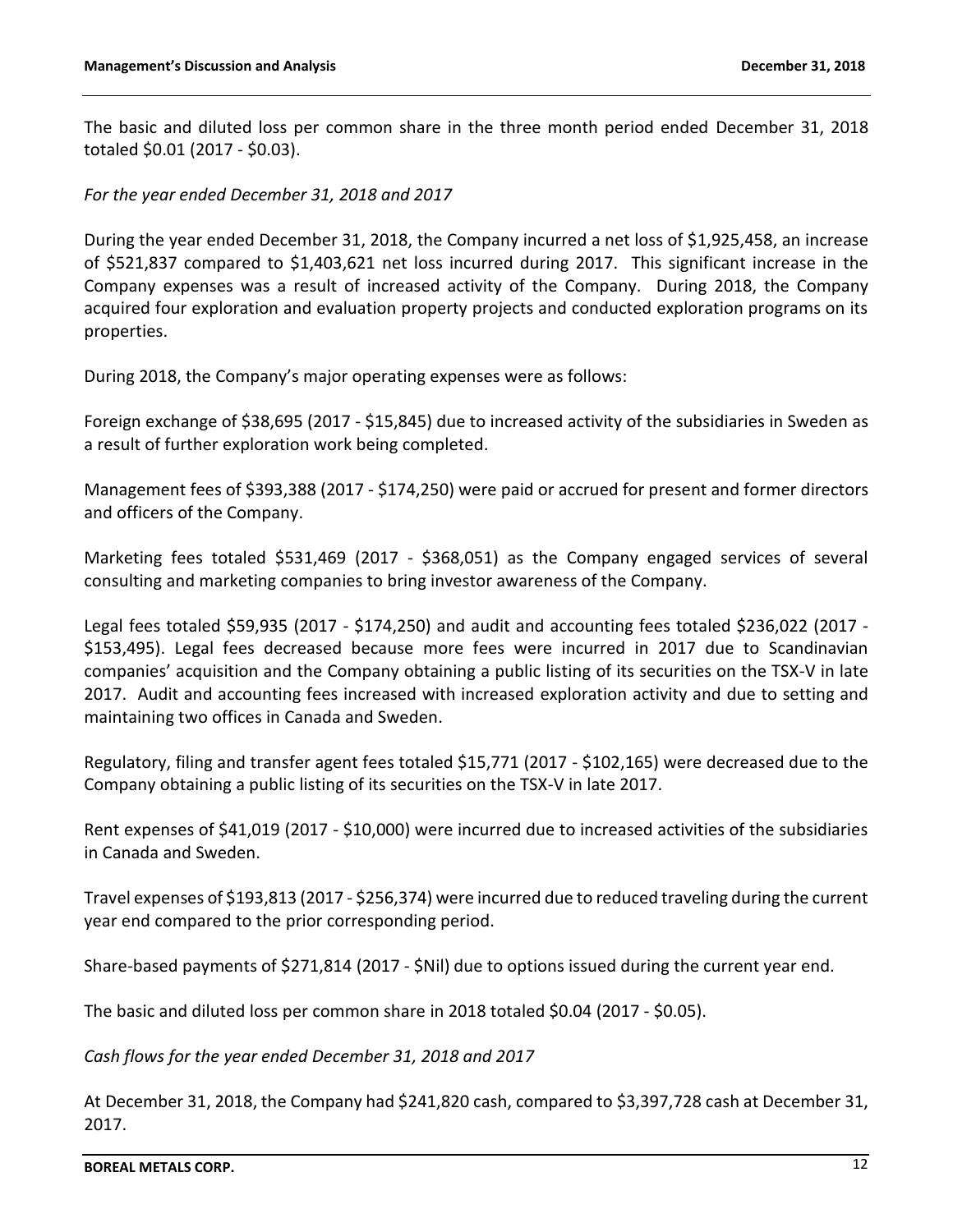The basic and diluted loss per common share in the three month period ended December 31, 2018 totaled \$0.01 (2017 - \$0.03).

*For the year ended December 31, 2018 and 2017*

During the year ended December 31, 2018, the Company incurred a net loss of \$1,925,458, an increase of \$521,837 compared to \$1,403,621 net loss incurred during 2017. This significant increase in the Company expenses was a result of increased activity of the Company. During 2018, the Company acquired four exploration and evaluation property projects and conducted exploration programs on its properties.

During 2018, the Company's major operating expenses were as follows:

Foreign exchange of \$38,695 (2017 - \$15,845) due to increased activity of the subsidiaries in Sweden as a result of further exploration work being completed.

Management fees of \$393,388 (2017 - \$174,250) were paid or accrued for present and former directors and officers of the Company.

Marketing fees totaled \$531,469 (2017 - \$368,051) as the Company engaged services of several consulting and marketing companies to bring investor awareness of the Company.

Legal fees totaled \$59,935 (2017 - \$174,250) and audit and accounting fees totaled \$236,022 (2017 - \$153,495). Legal fees decreased because more fees were incurred in 2017 due to Scandinavian companies' acquisition and the Company obtaining a public listing of its securities on the TSX-V in late 2017. Audit and accounting fees increased with increased exploration activity and due to setting and maintaining two offices in Canada and Sweden.

Regulatory, filing and transfer agent fees totaled \$15,771 (2017 - \$102,165) were decreased due to the Company obtaining a public listing of its securities on the TSX-V in late 2017.

Rent expenses of \$41,019 (2017 - \$10,000) were incurred due to increased activities of the subsidiaries in Canada and Sweden.

Travel expenses of \$193,813 (2017 - \$256,374) were incurred due to reduced traveling during the current year end compared to the prior corresponding period.

Share-based payments of \$271,814 (2017 - \$Nil) due to options issued during the current year end.

The basic and diluted loss per common share in 2018 totaled \$0.04 (2017 - \$0.05).

*Cash flows for the year ended December 31, 2018 and 2017*

At December 31, 2018, the Company had \$241,820 cash, compared to \$3,397,728 cash at December 31, 2017.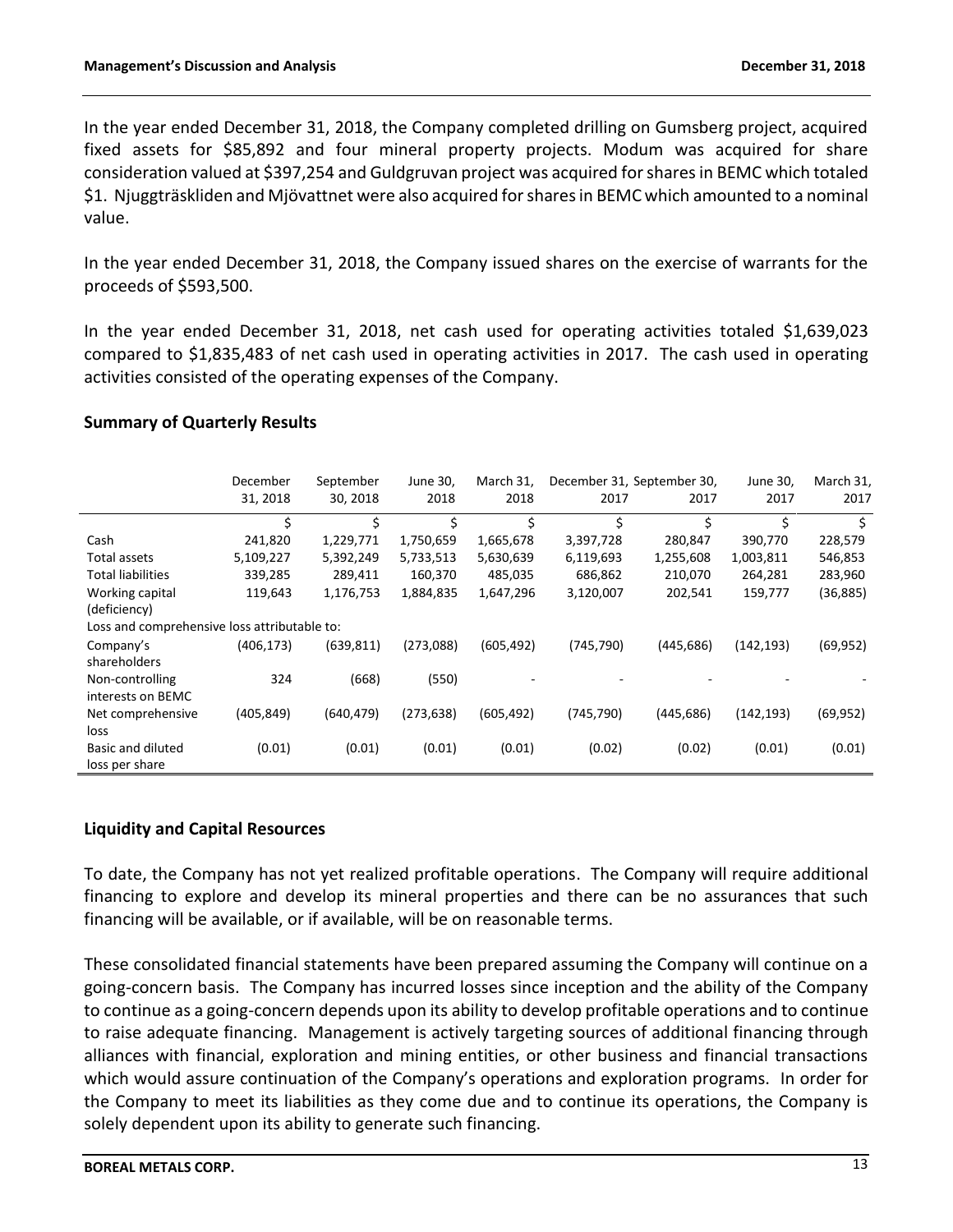In the year ended December 31, 2018, the Company completed drilling on Gumsberg project, acquired fixed assets for \$85,892 and four mineral property projects. Modum was acquired for share consideration valued at \$397,254 and Guldgruvan project was acquired for shares in BEMC which totaled \$1. Njuggträskliden and Mjövattnet were also acquired for shares in BEMC which amounted to a nominal value.

In the year ended December 31, 2018, the Company issued shares on the exercise of warrants for the proceeds of \$593,500.

In the year ended December 31, 2018, net cash used for operating activities totaled \$1,639,023 compared to \$1,835,483 of net cash used in operating activities in 2017. The cash used in operating activities consisted of the operating expenses of the Company.

## **Summary of Quarterly Results**

|                                              | December   | September  | June 30,   | March 31,  |            | December 31, September 30, | June 30,   | March 31, |
|----------------------------------------------|------------|------------|------------|------------|------------|----------------------------|------------|-----------|
|                                              | 31, 2018   | 30, 2018   | 2018       | 2018       | 2017       | 2017                       | 2017       | 2017      |
|                                              | \$         | \$         | \$         | \$         | \$         | \$                         | \$         | \$        |
| Cash                                         | 241,820    | 1,229,771  | 1,750,659  | 1,665,678  | 3,397,728  | 280,847                    | 390,770    | 228,579   |
| Total assets                                 | 5,109,227  | 5,392,249  | 5,733,513  | 5,630,639  | 6,119,693  | 1,255,608                  | 1,003,811  | 546,853   |
| <b>Total liabilities</b>                     | 339,285    | 289,411    | 160,370    | 485,035    | 686,862    | 210,070                    | 264,281    | 283,960   |
| Working capital                              | 119,643    | 1,176,753  | 1,884,835  | 1,647,296  | 3,120,007  | 202,541                    | 159,777    | (36, 885) |
| (deficiency)                                 |            |            |            |            |            |                            |            |           |
| Loss and comprehensive loss attributable to: |            |            |            |            |            |                            |            |           |
| Company's                                    | (406, 173) | (639, 811) | (273,088)  | (605, 492) | (745, 790) | (445, 686)                 | (142, 193) | (69, 952) |
| shareholders                                 |            |            |            |            |            |                            |            |           |
| Non-controlling                              | 324        | (668)      | (550)      |            |            |                            |            |           |
| interests on BEMC                            |            |            |            |            |            |                            |            |           |
| Net comprehensive                            | (405,849)  | (640, 479) | (273, 638) | (605, 492) | (745, 790) | (445,686)                  | (142, 193) | (69, 952) |
| loss                                         |            |            |            |            |            |                            |            |           |
| Basic and diluted                            | (0.01)     | (0.01)     | (0.01)     | (0.01)     | (0.02)     | (0.02)                     | (0.01)     | (0.01)    |
| loss per share                               |            |            |            |            |            |                            |            |           |

## **Liquidity and Capital Resources**

To date, the Company has not yet realized profitable operations. The Company will require additional financing to explore and develop its mineral properties and there can be no assurances that such financing will be available, or if available, will be on reasonable terms.

These consolidated financial statements have been prepared assuming the Company will continue on a going-concern basis. The Company has incurred losses since inception and the ability of the Company to continue as a going-concern depends upon its ability to develop profitable operations and to continue to raise adequate financing. Management is actively targeting sources of additional financing through alliances with financial, exploration and mining entities, or other business and financial transactions which would assure continuation of the Company's operations and exploration programs. In order for the Company to meet its liabilities as they come due and to continue its operations, the Company is solely dependent upon its ability to generate such financing.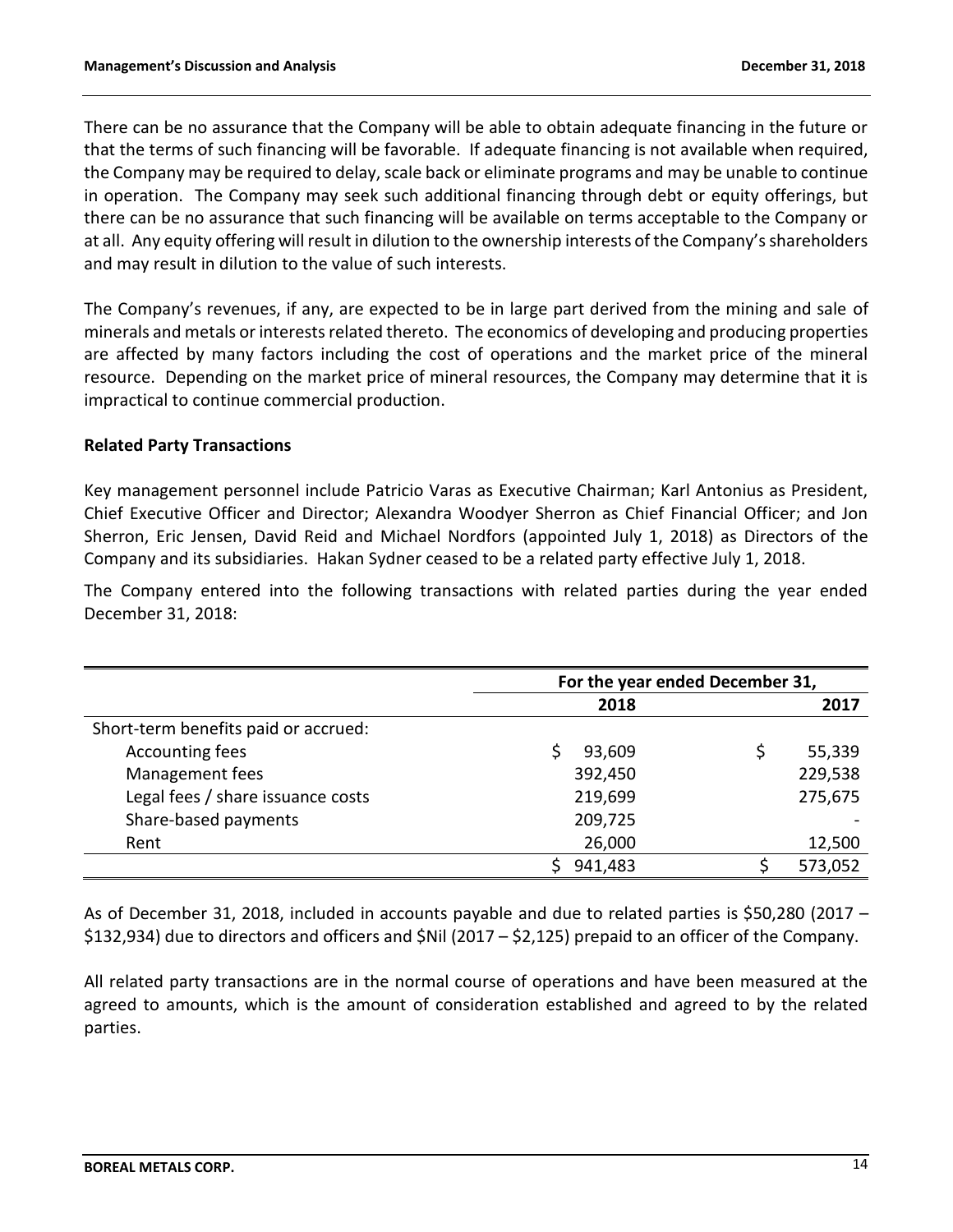There can be no assurance that the Company will be able to obtain adequate financing in the future or that the terms of such financing will be favorable. If adequate financing is not available when required, the Company may be required to delay, scale back or eliminate programs and may be unable to continue in operation. The Company may seek such additional financing through debt or equity offerings, but there can be no assurance that such financing will be available on terms acceptable to the Company or at all. Any equity offering will result in dilution to the ownership interests of the Company's shareholders and may result in dilution to the value of such interests.

The Company's revenues, if any, are expected to be in large part derived from the mining and sale of minerals and metals or interests related thereto. The economics of developing and producing properties are affected by many factors including the cost of operations and the market price of the mineral resource. Depending on the market price of mineral resources, the Company may determine that it is impractical to continue commercial production.

## **Related Party Transactions**

Key management personnel include Patricio Varas as Executive Chairman; Karl Antonius as President, Chief Executive Officer and Director; Alexandra Woodyer Sherron as Chief Financial Officer; and Jon Sherron, Eric Jensen, David Reid and Michael Nordfors (appointed July 1, 2018) as Directors of the Company and its subsidiaries. Hakan Sydner ceased to be a related party effective July 1, 2018.

The Company entered into the following transactions with related parties during the year ended December 31, 2018:

|                                      | For the year ended December 31, |  |         |  |  |  |  |
|--------------------------------------|---------------------------------|--|---------|--|--|--|--|
|                                      | 2018                            |  | 2017    |  |  |  |  |
| Short-term benefits paid or accrued: |                                 |  |         |  |  |  |  |
| Accounting fees                      | 93,609                          |  | 55,339  |  |  |  |  |
| Management fees                      | 392,450                         |  | 229,538 |  |  |  |  |
| Legal fees / share issuance costs    | 219,699                         |  | 275,675 |  |  |  |  |
| Share-based payments                 | 209,725                         |  |         |  |  |  |  |
| Rent                                 | 26,000                          |  | 12,500  |  |  |  |  |
|                                      | 941,483                         |  | 573,052 |  |  |  |  |

As of December 31, 2018, included in accounts payable and due to related parties is \$50,280 (2017 – \$132,934) due to directors and officers and \$Nil (2017 – \$2,125) prepaid to an officer of the Company.

All related party transactions are in the normal course of operations and have been measured at the agreed to amounts, which is the amount of consideration established and agreed to by the related parties.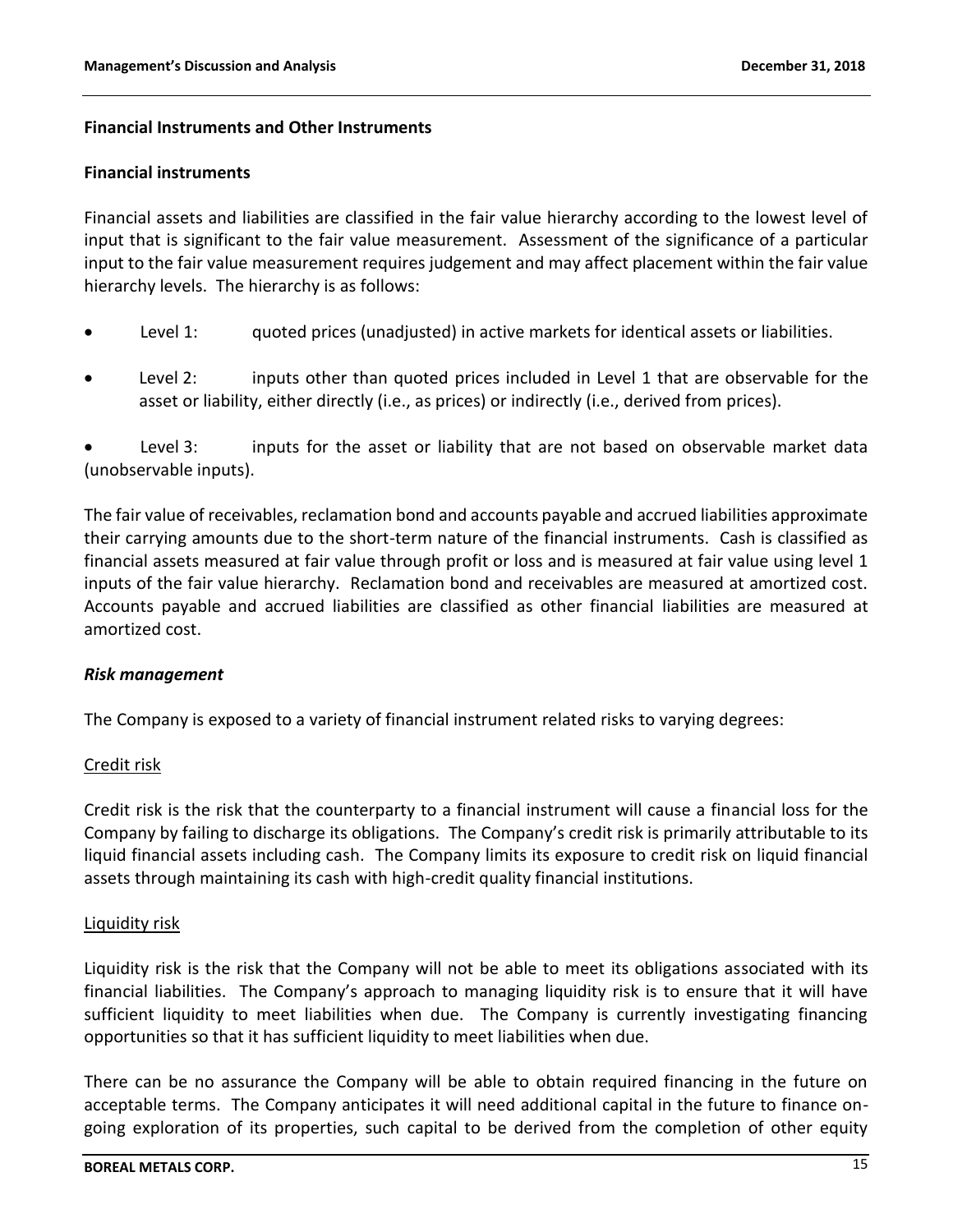## **Financial Instruments and Other Instruments**

### **Financial instruments**

Financial assets and liabilities are classified in the fair value hierarchy according to the lowest level of input that is significant to the fair value measurement. Assessment of the significance of a particular input to the fair value measurement requires judgement and may affect placement within the fair value hierarchy levels. The hierarchy is as follows:

- Level 1: guoted prices (unadjusted) in active markets for identical assets or liabilities.
- Level 2: inputs other than quoted prices included in Level 1 that are observable for the asset or liability, either directly (i.e., as prices) or indirectly (i.e., derived from prices).

Level 3: inputs for the asset or liability that are not based on observable market data (unobservable inputs).

The fair value of receivables, reclamation bond and accounts payable and accrued liabilities approximate their carrying amounts due to the short-term nature of the financial instruments. Cash is classified as financial assets measured at fair value through profit or loss and is measured at fair value using level 1 inputs of the fair value hierarchy. Reclamation bond and receivables are measured at amortized cost. Accounts payable and accrued liabilities are classified as other financial liabilities are measured at amortized cost.

## *Risk management*

The Company is exposed to a variety of financial instrument related risks to varying degrees:

## Credit risk

Credit risk is the risk that the counterparty to a financial instrument will cause a financial loss for the Company by failing to discharge its obligations. The Company's credit risk is primarily attributable to its liquid financial assets including cash. The Company limits its exposure to credit risk on liquid financial assets through maintaining its cash with high-credit quality financial institutions.

#### Liquidity risk

Liquidity risk is the risk that the Company will not be able to meet its obligations associated with its financial liabilities. The Company's approach to managing liquidity risk is to ensure that it will have sufficient liquidity to meet liabilities when due. The Company is currently investigating financing opportunities so that it has sufficient liquidity to meet liabilities when due.

There can be no assurance the Company will be able to obtain required financing in the future on acceptable terms. The Company anticipates it will need additional capital in the future to finance ongoing exploration of its properties, such capital to be derived from the completion of other equity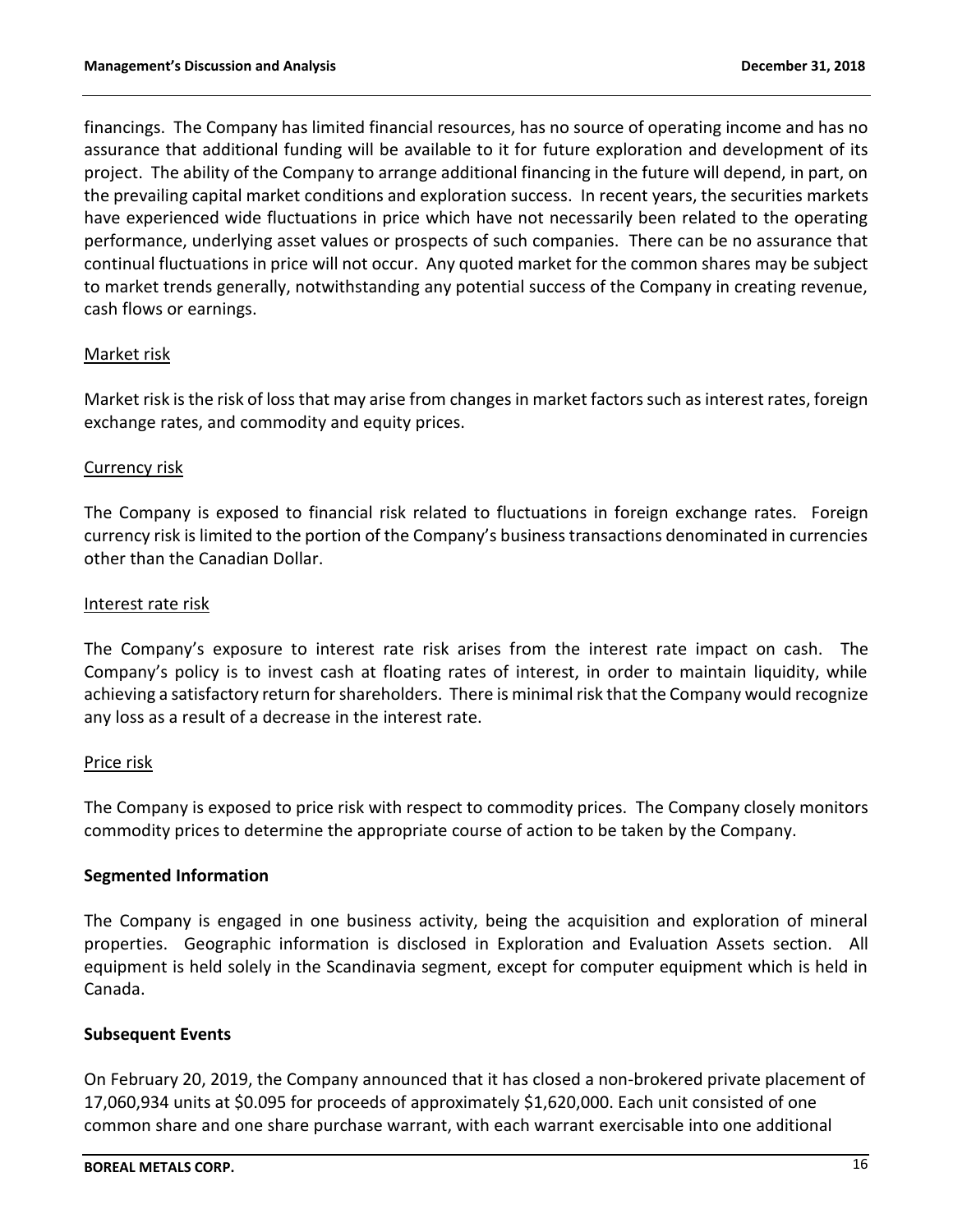financings. The Company has limited financial resources, has no source of operating income and has no assurance that additional funding will be available to it for future exploration and development of its project. The ability of the Company to arrange additional financing in the future will depend, in part, on the prevailing capital market conditions and exploration success. In recent years, the securities markets have experienced wide fluctuations in price which have not necessarily been related to the operating performance, underlying asset values or prospects of such companies. There can be no assurance that continual fluctuations in price will not occur. Any quoted market for the common shares may be subject to market trends generally, notwithstanding any potential success of the Company in creating revenue, cash flows or earnings.

## Market risk

Market risk is the risk of loss that may arise from changes in market factors such as interest rates, foreign exchange rates, and commodity and equity prices.

## Currency risk

The Company is exposed to financial risk related to fluctuations in foreign exchange rates. Foreign currency risk is limited to the portion of the Company's business transactions denominated in currencies other than the Canadian Dollar.

#### Interest rate risk

The Company's exposure to interest rate risk arises from the interest rate impact on cash. The Company's policy is to invest cash at floating rates of interest, in order to maintain liquidity, while achieving a satisfactory return for shareholders. There is minimal risk that the Company would recognize any loss as a result of a decrease in the interest rate.

#### Price risk

The Company is exposed to price risk with respect to commodity prices. The Company closely monitors commodity prices to determine the appropriate course of action to be taken by the Company.

## **Segmented Information**

The Company is engaged in one business activity, being the acquisition and exploration of mineral properties. Geographic information is disclosed in Exploration and Evaluation Assets section. All equipment is held solely in the Scandinavia segment, except for computer equipment which is held in Canada.

#### **Subsequent Events**

On February 20, 2019, the Company announced that it has closed a non-brokered private placement of 17,060,934 units at \$0.095 for proceeds of approximately \$1,620,000. Each unit consisted of one common share and one share purchase warrant, with each warrant exercisable into one additional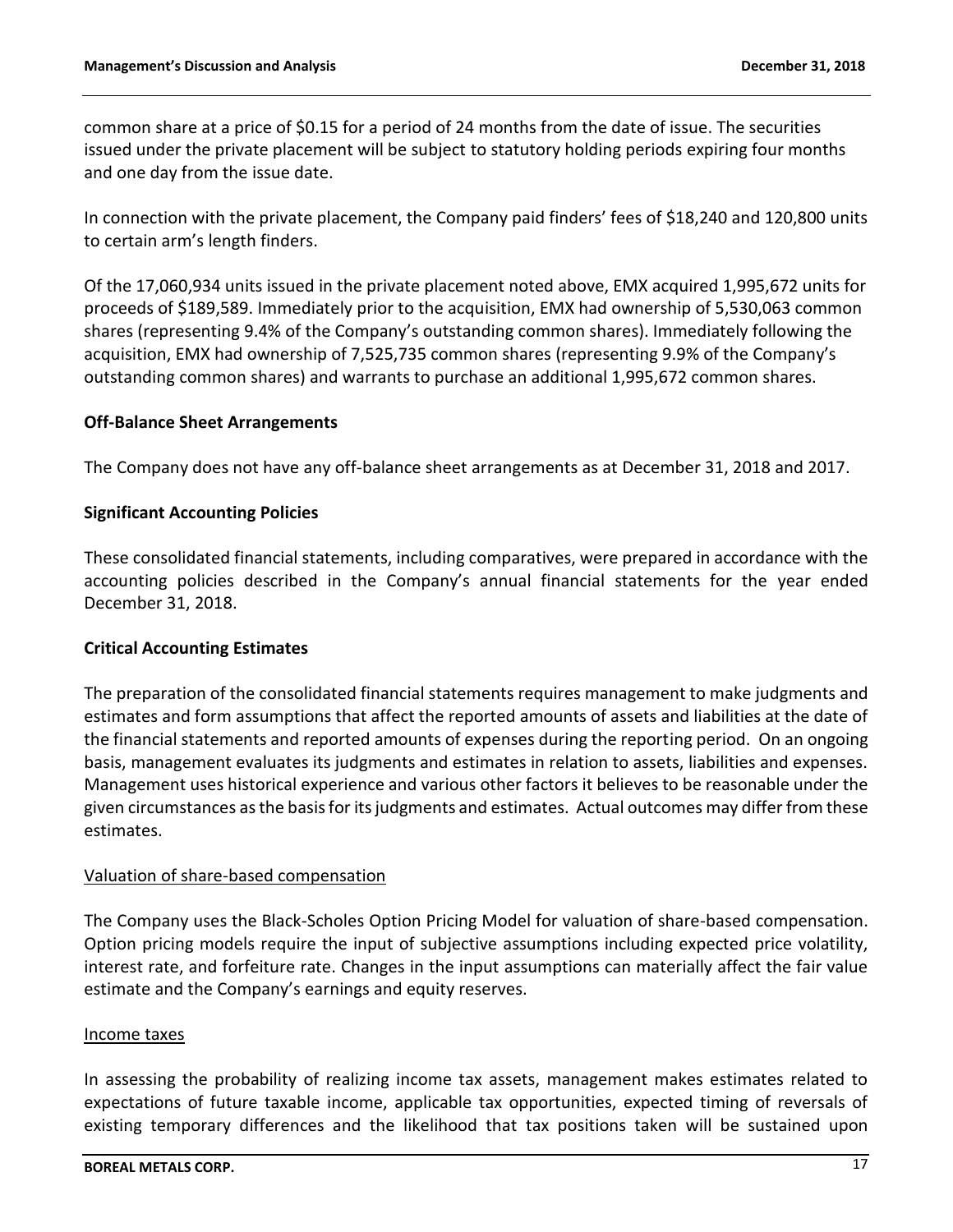common share at a price of \$0.15 for a period of 24 months from the date of issue. The securities issued under the private placement will be subject to statutory holding periods expiring four months and one day from the issue date.

In connection with the private placement, the Company paid finders' fees of \$18,240 and 120,800 units to certain arm's length finders.

Of the 17,060,934 units issued in the private placement noted above, EMX acquired 1,995,672 units for proceeds of \$189,589. Immediately prior to the acquisition, EMX had ownership of 5,530,063 common shares (representing 9.4% of the Company's outstanding common shares). Immediately following the acquisition, EMX had ownership of 7,525,735 common shares (representing 9.9% of the Company's outstanding common shares) and warrants to purchase an additional 1,995,672 common shares.

## **Off-Balance Sheet Arrangements**

The Company does not have any off-balance sheet arrangements as at December 31, 2018 and 2017.

## **Significant Accounting Policies**

These consolidated financial statements, including comparatives, were prepared in accordance with the accounting policies described in the Company's annual financial statements for the year ended December 31, 2018.

#### **Critical Accounting Estimates**

The preparation of the consolidated financial statements requires management to make judgments and estimates and form assumptions that affect the reported amounts of assets and liabilities at the date of the financial statements and reported amounts of expenses during the reporting period. On an ongoing basis, management evaluates its judgments and estimates in relation to assets, liabilities and expenses. Management uses historical experience and various other factors it believes to be reasonable under the given circumstances as the basis for its judgments and estimates. Actual outcomes may differ from these estimates.

#### Valuation of share-based compensation

The Company uses the Black-Scholes Option Pricing Model for valuation of share-based compensation. Option pricing models require the input of subjective assumptions including expected price volatility, interest rate, and forfeiture rate. Changes in the input assumptions can materially affect the fair value estimate and the Company's earnings and equity reserves.

#### Income taxes

In assessing the probability of realizing income tax assets, management makes estimates related to expectations of future taxable income, applicable tax opportunities, expected timing of reversals of existing temporary differences and the likelihood that tax positions taken will be sustained upon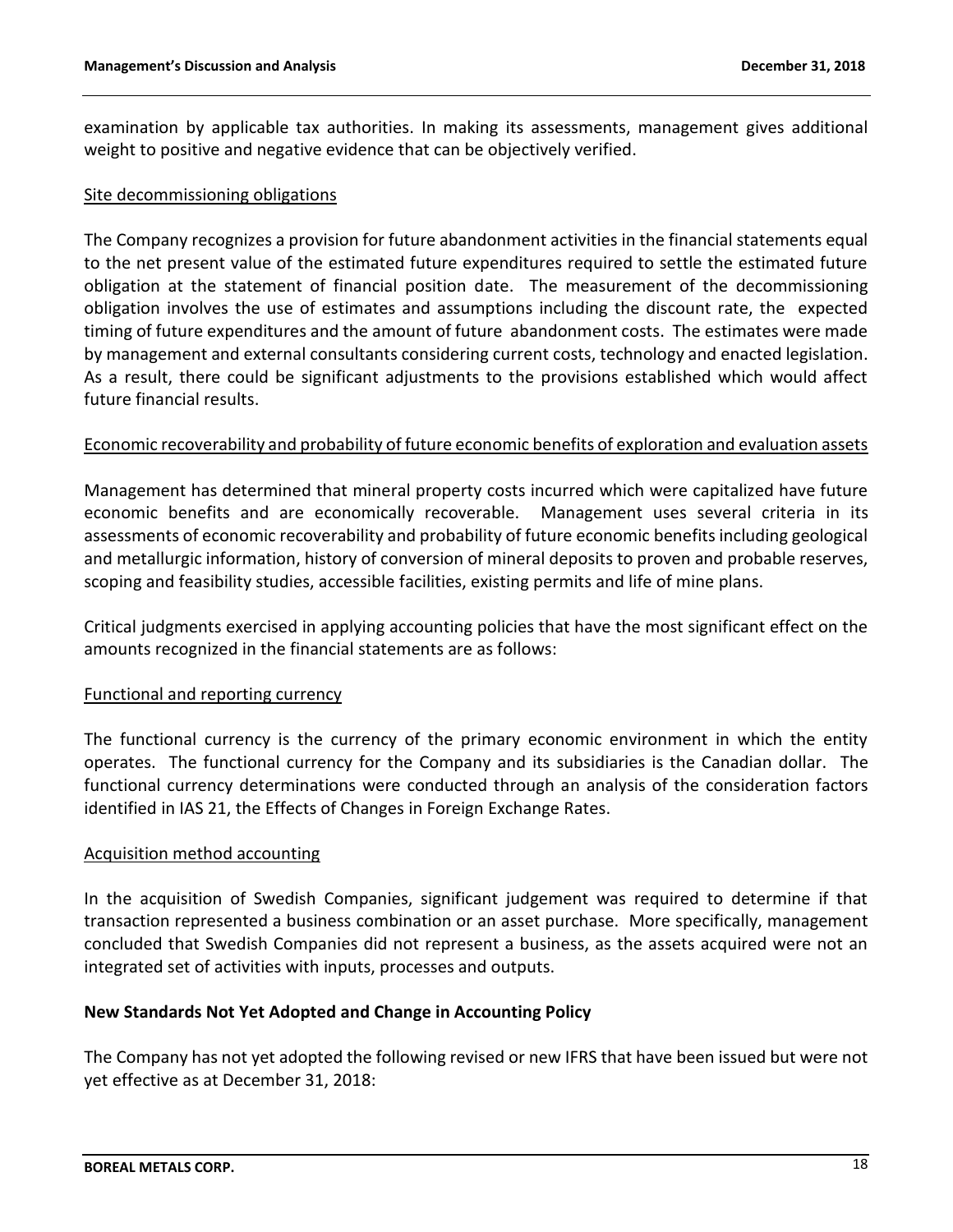examination by applicable tax authorities. In making its assessments, management gives additional weight to positive and negative evidence that can be objectively verified.

#### Site decommissioning obligations

The Company recognizes a provision for future abandonment activities in the financial statements equal to the net present value of the estimated future expenditures required to settle the estimated future obligation at the statement of financial position date. The measurement of the decommissioning obligation involves the use of estimates and assumptions including the discount rate, the expected timing of future expenditures and the amount of future abandonment costs. The estimates were made by management and external consultants considering current costs, technology and enacted legislation. As a result, there could be significant adjustments to the provisions established which would affect future financial results.

## Economic recoverability and probability of future economic benefits of exploration and evaluation assets

Management has determined that mineral property costs incurred which were capitalized have future economic benefits and are economically recoverable. Management uses several criteria in its assessments of economic recoverability and probability of future economic benefits including geological and metallurgic information, history of conversion of mineral deposits to proven and probable reserves, scoping and feasibility studies, accessible facilities, existing permits and life of mine plans.

Critical judgments exercised in applying accounting policies that have the most significant effect on the amounts recognized in the financial statements are as follows:

#### Functional and reporting currency

The functional currency is the currency of the primary economic environment in which the entity operates. The functional currency for the Company and its subsidiaries is the Canadian dollar. The functional currency determinations were conducted through an analysis of the consideration factors identified in IAS 21, the Effects of Changes in Foreign Exchange Rates.

#### Acquisition method accounting

In the acquisition of Swedish Companies, significant judgement was required to determine if that transaction represented a business combination or an asset purchase. More specifically, management concluded that Swedish Companies did not represent a business, as the assets acquired were not an integrated set of activities with inputs, processes and outputs.

#### **New Standards Not Yet Adopted and Change in Accounting Policy**

The Company has not yet adopted the following revised or new IFRS that have been issued but were not yet effective as at December 31, 2018: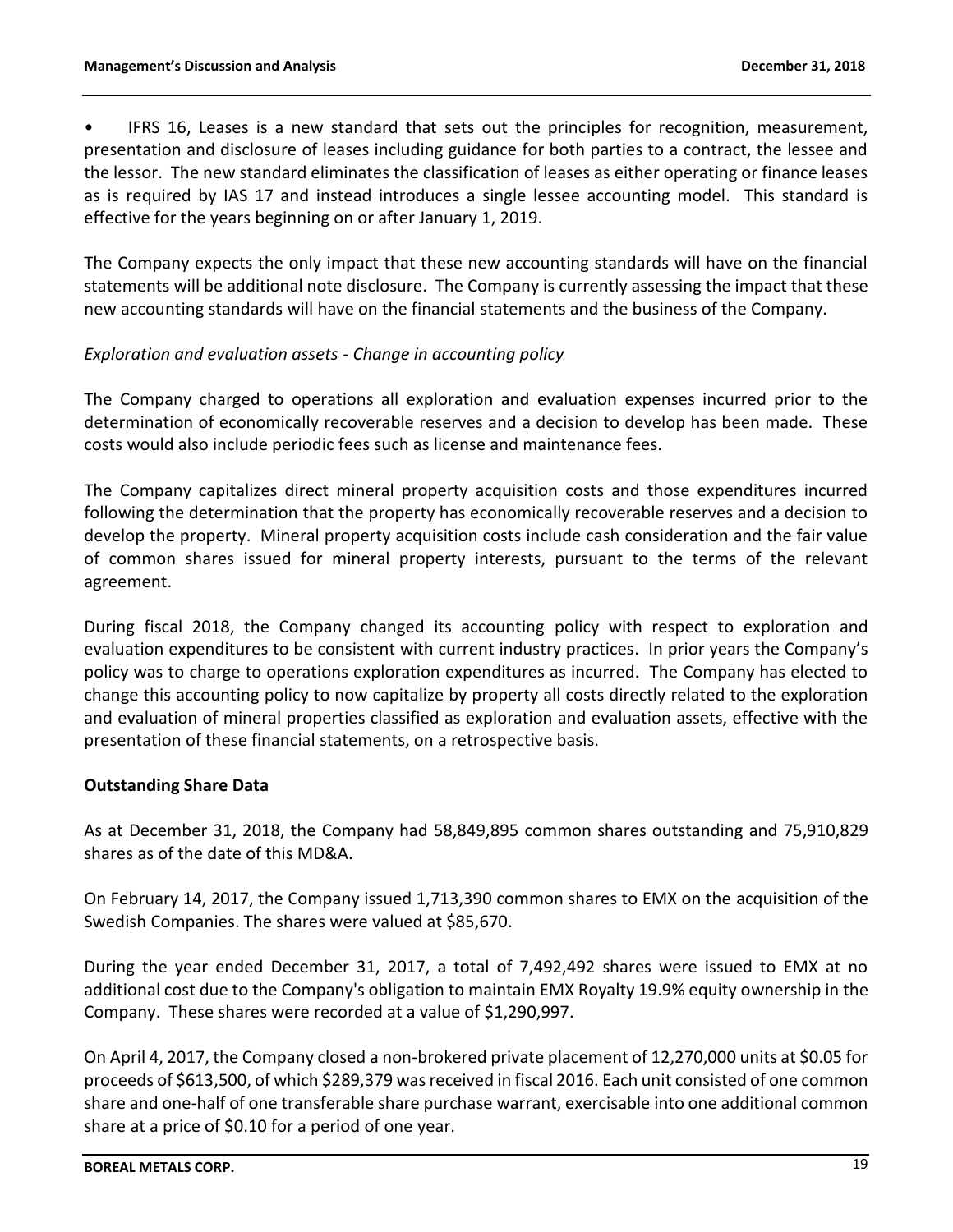IFRS 16, Leases is a new standard that sets out the principles for recognition, measurement, presentation and disclosure of leases including guidance for both parties to a contract, the lessee and the lessor. The new standard eliminates the classification of leases as either operating or finance leases as is required by IAS 17 and instead introduces a single lessee accounting model. This standard is effective for the years beginning on or after January 1, 2019.

The Company expects the only impact that these new accounting standards will have on the financial statements will be additional note disclosure. The Company is currently assessing the impact that these new accounting standards will have on the financial statements and the business of the Company.

# *Exploration and evaluation assets - Change in accounting policy*

The Company charged to operations all exploration and evaluation expenses incurred prior to the determination of economically recoverable reserves and a decision to develop has been made. These costs would also include periodic fees such as license and maintenance fees.

The Company capitalizes direct mineral property acquisition costs and those expenditures incurred following the determination that the property has economically recoverable reserves and a decision to develop the property. Mineral property acquisition costs include cash consideration and the fair value of common shares issued for mineral property interests, pursuant to the terms of the relevant agreement.

During fiscal 2018, the Company changed its accounting policy with respect to exploration and evaluation expenditures to be consistent with current industry practices. In prior years the Company's policy was to charge to operations exploration expenditures as incurred. The Company has elected to change this accounting policy to now capitalize by property all costs directly related to the exploration and evaluation of mineral properties classified as exploration and evaluation assets, effective with the presentation of these financial statements, on a retrospective basis.

## **Outstanding Share Data**

As at December 31, 2018, the Company had 58,849,895 common shares outstanding and 75,910,829 shares as of the date of this MD&A.

On February 14, 2017, the Company issued 1,713,390 common shares to EMX on the acquisition of the Swedish Companies. The shares were valued at \$85,670.

During the year ended December 31, 2017, a total of 7,492,492 shares were issued to EMX at no additional cost due to the Company's obligation to maintain EMX Royalty 19.9% equity ownership in the Company. These shares were recorded at a value of \$1,290,997.

On April 4, 2017, the Company closed a non-brokered private placement of 12,270,000 units at \$0.05 for proceeds of \$613,500, of which \$289,379 was received in fiscal 2016. Each unit consisted of one common share and one-half of one transferable share purchase warrant, exercisable into one additional common share at a price of \$0.10 for a period of one year.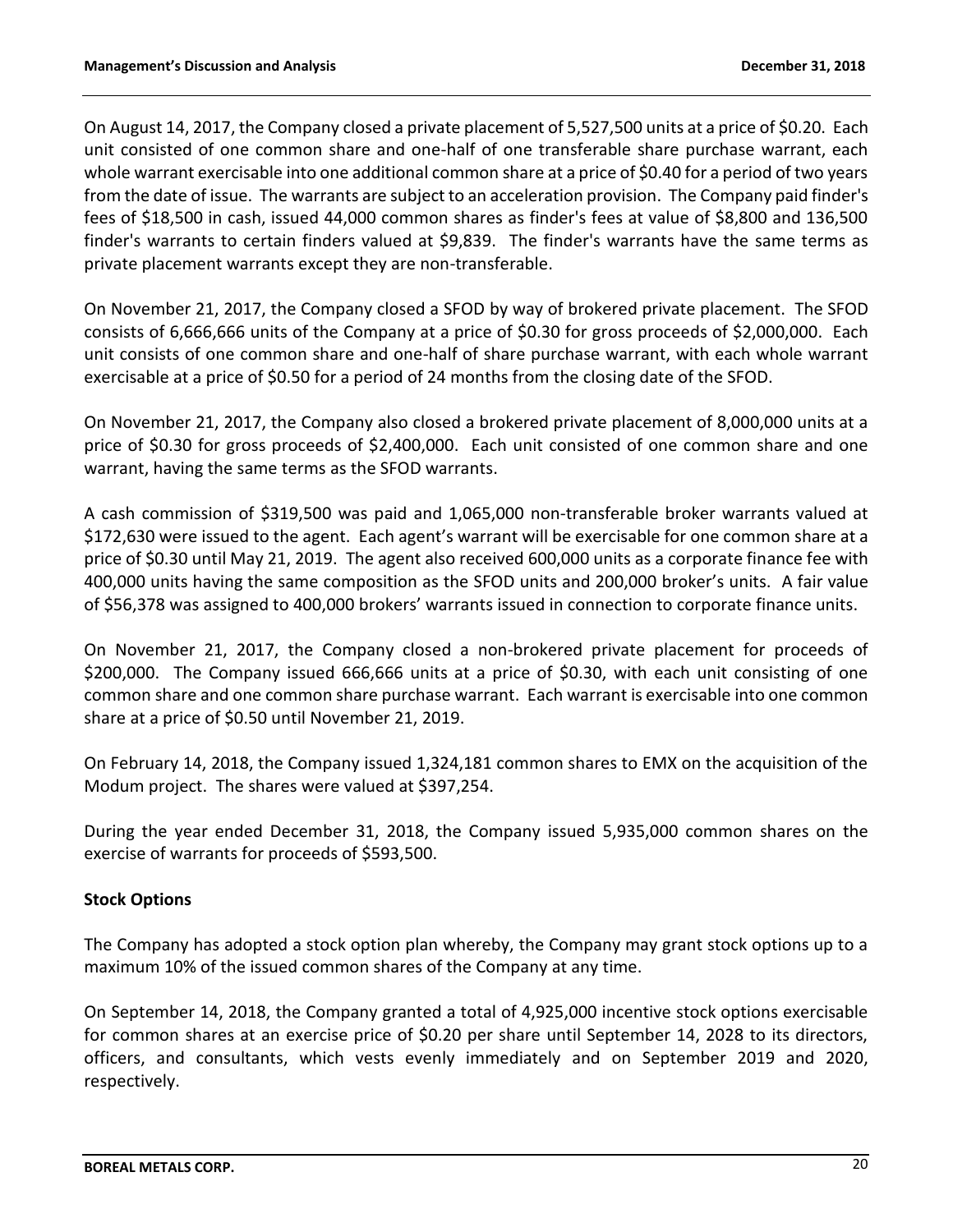On August 14, 2017, the Company closed a private placement of 5,527,500 units at a price of \$0.20. Each unit consisted of one common share and one-half of one transferable share purchase warrant, each whole warrant exercisable into one additional common share at a price of \$0.40 for a period of two years from the date of issue. The warrants are subject to an acceleration provision. The Company paid finder's fees of \$18,500 in cash, issued 44,000 common shares as finder's fees at value of \$8,800 and 136,500 finder's warrants to certain finders valued at \$9,839. The finder's warrants have the same terms as private placement warrants except they are non-transferable.

On November 21, 2017, the Company closed a SFOD by way of brokered private placement. The SFOD consists of 6,666,666 units of the Company at a price of \$0.30 for gross proceeds of \$2,000,000. Each unit consists of one common share and one-half of share purchase warrant, with each whole warrant exercisable at a price of \$0.50 for a period of 24 months from the closing date of the SFOD.

On November 21, 2017, the Company also closed a brokered private placement of 8,000,000 units at a price of \$0.30 for gross proceeds of \$2,400,000. Each unit consisted of one common share and one warrant, having the same terms as the SFOD warrants.

A cash commission of \$319,500 was paid and 1,065,000 non-transferable broker warrants valued at \$172,630 were issued to the agent. Each agent's warrant will be exercisable for one common share at a price of \$0.30 until May 21, 2019. The agent also received 600,000 units as a corporate finance fee with 400,000 units having the same composition as the SFOD units and 200,000 broker's units. A fair value of \$56,378 was assigned to 400,000 brokers' warrants issued in connection to corporate finance units.

On November 21, 2017, the Company closed a non-brokered private placement for proceeds of \$200,000. The Company issued 666,666 units at a price of \$0.30, with each unit consisting of one common share and one common share purchase warrant. Each warrant is exercisable into one common share at a price of \$0.50 until November 21, 2019.

On February 14, 2018, the Company issued 1,324,181 common shares to EMX on the acquisition of the Modum project. The shares were valued at \$397,254.

During the year ended December 31, 2018, the Company issued 5,935,000 common shares on the exercise of warrants for proceeds of \$593,500.

# **Stock Options**

The Company has adopted a stock option plan whereby, the Company may grant stock options up to a maximum 10% of the issued common shares of the Company at any time.

On September 14, 2018, the Company granted a total of 4,925,000 incentive stock options exercisable for common shares at an exercise price of \$0.20 per share until September 14, 2028 to its directors, officers, and consultants, which vests evenly immediately and on September 2019 and 2020, respectively.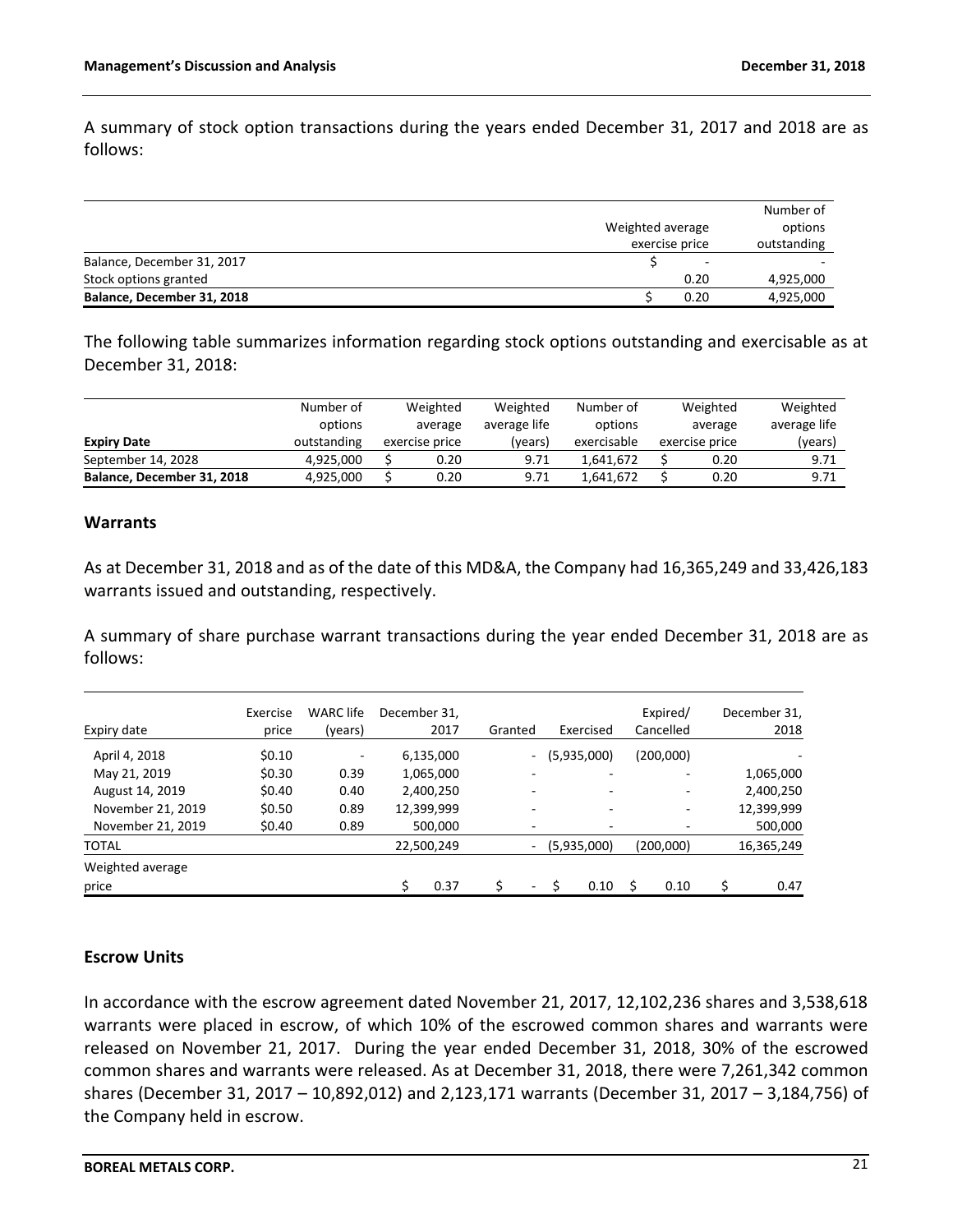A summary of stock option transactions during the years ended December 31, 2017 and 2018 are as follows:

|                            |                  | Number of   |
|----------------------------|------------------|-------------|
|                            | Weighted average | options     |
|                            | exercise price   | outstanding |
| Balance, December 31, 2017 | -                |             |
| Stock options granted      | 0.20             | 4,925,000   |
| Balance, December 31, 2018 | 0.20             | 4,925,000   |

The following table summarizes information regarding stock options outstanding and exercisable as at December 31, 2018:

|                            | Number of   |         | Weighted       | Weighted     | Number of   | Weighted<br>average |                | Weighted     |
|----------------------------|-------------|---------|----------------|--------------|-------------|---------------------|----------------|--------------|
|                            | options     | average |                | average life | options     |                     |                | average life |
| <b>Expiry Date</b>         | outstanding |         | exercise price | (vears)      | exercisable |                     | exercise price | (years)      |
| September 14, 2028         | 4.925.000   |         | 0.20           | 9.71         | 1.641.672   |                     | 0.20           | 9.71         |
| Balance, December 31, 2018 | 4.925.000   |         | 0.20           | 9.71         | 1.641.672   |                     | 0.20           | 9.71         |

### **Warrants**

As at December 31, 2018 and as of the date of this MD&A, the Company had 16,365,249 and 33,426,183 warrants issued and outstanding, respectively.

A summary of share purchase warrant transactions during the year ended December 31, 2018 are as follows:

| Expiry date       | Exercise<br>price | <b>WARC</b> life<br>(years) | December 31.<br>2017 | Granted | Exercised   |                          | Expired/<br>Cancelled |   | December 31,<br>2018 |
|-------------------|-------------------|-----------------------------|----------------------|---------|-------------|--------------------------|-----------------------|---|----------------------|
| April 4, 2018     | \$0.10            | ۰                           | 6,135,000            | $\sim$  | (5,935,000) |                          | (200,000)             |   |                      |
| May 21, 2019      | \$0.30            | 0.39                        | 1,065,000            |         |             |                          |                       |   | 1,065,000            |
| August 14, 2019   | \$0.40            | 0.40                        | 2,400,250            |         |             |                          |                       |   | 2,400,250            |
| November 21, 2019 | \$0.50            | 0.89                        | 12,399,999           |         |             |                          |                       |   | 12,399,999           |
| November 21, 2019 | \$0.40            | 0.89                        | 500,000              | -       |             | $\overline{\phantom{0}}$ |                       |   | 500,000              |
| <b>TOTAL</b>      |                   |                             | 22,500,249           | $\sim$  | (5,935,000) |                          | (200,000)             |   | 16,365,249           |
| Weighted average  |                   |                             |                      |         |             |                          |                       |   |                      |
| price             |                   |                             | 0.37                 | ۰       | 0.10        |                          | 0.10                  | Ś | 0.47                 |

## **Escrow Units**

In accordance with the escrow agreement dated November 21, 2017, 12,102,236 shares and 3,538,618 warrants were placed in escrow, of which 10% of the escrowed common shares and warrants were released on November 21, 2017. During the year ended December 31, 2018, 30% of the escrowed common shares and warrants were released. As at December 31, 2018, there were 7,261,342 common shares (December 31, 2017 – 10,892,012) and 2,123,171 warrants (December 31, 2017 – 3,184,756) of the Company held in escrow.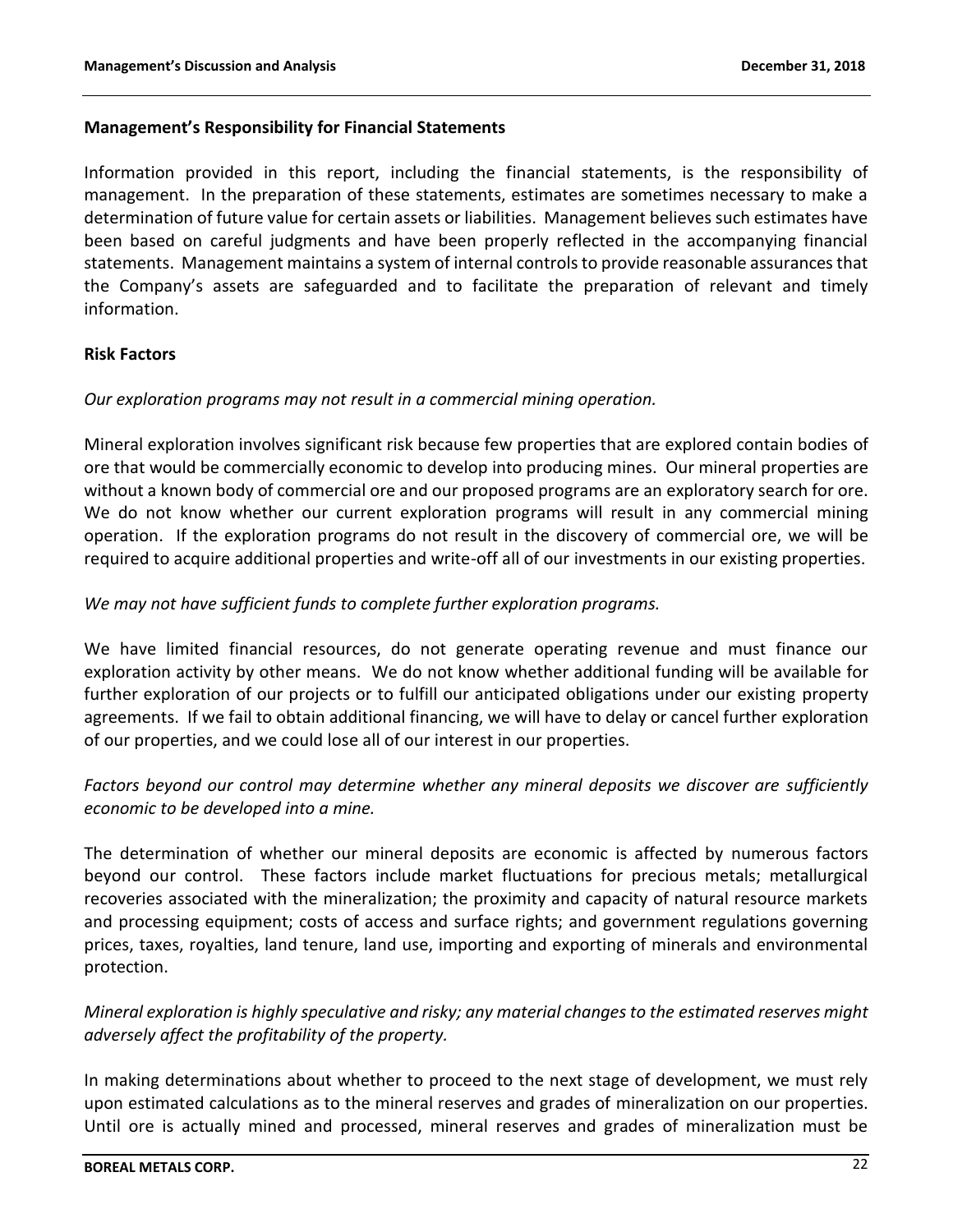## **Management's Responsibility for Financial Statements**

Information provided in this report, including the financial statements, is the responsibility of management. In the preparation of these statements, estimates are sometimes necessary to make a determination of future value for certain assets or liabilities. Management believes such estimates have been based on careful judgments and have been properly reflected in the accompanying financial statements. Management maintains a system of internal controls to provide reasonable assurances that the Company's assets are safeguarded and to facilitate the preparation of relevant and timely information.

## **Risk Factors**

## *Our exploration programs may not result in a commercial mining operation.*

Mineral exploration involves significant risk because few properties that are explored contain bodies of ore that would be commercially economic to develop into producing mines. Our mineral properties are without a known body of commercial ore and our proposed programs are an exploratory search for ore. We do not know whether our current exploration programs will result in any commercial mining operation. If the exploration programs do not result in the discovery of commercial ore, we will be required to acquire additional properties and write-off all of our investments in our existing properties.

## *We may not have sufficient funds to complete further exploration programs.*

We have limited financial resources, do not generate operating revenue and must finance our exploration activity by other means. We do not know whether additional funding will be available for further exploration of our projects or to fulfill our anticipated obligations under our existing property agreements. If we fail to obtain additional financing, we will have to delay or cancel further exploration of our properties, and we could lose all of our interest in our properties.

# *Factors beyond our control may determine whether any mineral deposits we discover are sufficiently economic to be developed into a mine.*

The determination of whether our mineral deposits are economic is affected by numerous factors beyond our control. These factors include market fluctuations for precious metals; metallurgical recoveries associated with the mineralization; the proximity and capacity of natural resource markets and processing equipment; costs of access and surface rights; and government regulations governing prices, taxes, royalties, land tenure, land use, importing and exporting of minerals and environmental protection.

# *Mineral exploration is highly speculative and risky; any material changes to the estimated reserves might adversely affect the profitability of the property.*

In making determinations about whether to proceed to the next stage of development, we must rely upon estimated calculations as to the mineral reserves and grades of mineralization on our properties. Until ore is actually mined and processed, mineral reserves and grades of mineralization must be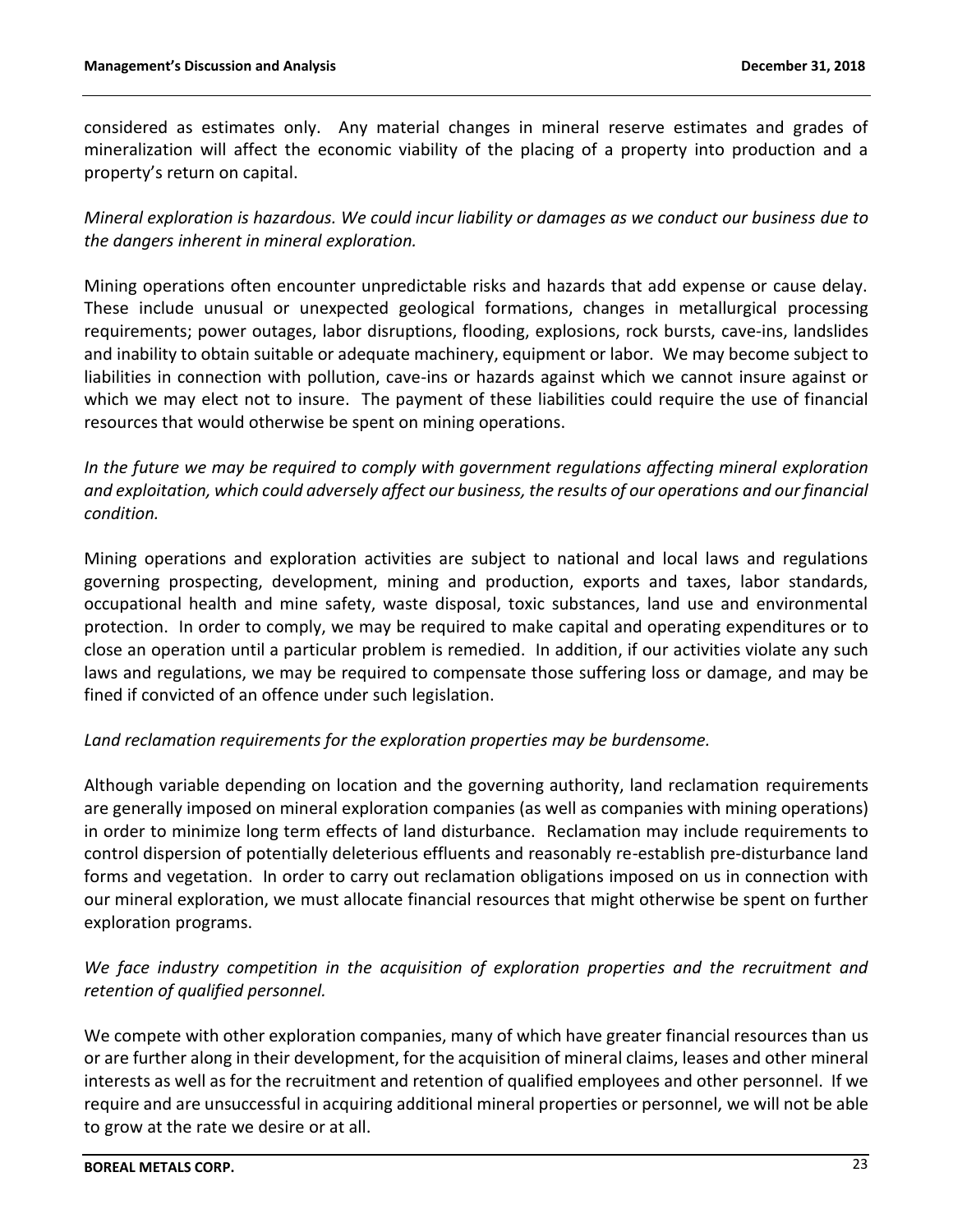considered as estimates only. Any material changes in mineral reserve estimates and grades of mineralization will affect the economic viability of the placing of a property into production and a property's return on capital.

*Mineral exploration is hazardous. We could incur liability or damages as we conduct our business due to the dangers inherent in mineral exploration.*

Mining operations often encounter unpredictable risks and hazards that add expense or cause delay. These include unusual or unexpected geological formations, changes in metallurgical processing requirements; power outages, labor disruptions, flooding, explosions, rock bursts, cave-ins, landslides and inability to obtain suitable or adequate machinery, equipment or labor. We may become subject to liabilities in connection with pollution, cave-ins or hazards against which we cannot insure against or which we may elect not to insure. The payment of these liabilities could require the use of financial resources that would otherwise be spent on mining operations.

*In the future we may be required to comply with government regulations affecting mineral exploration and exploitation, which could adversely affect our business, the results of our operations and our financial condition.*

Mining operations and exploration activities are subject to national and local laws and regulations governing prospecting, development, mining and production, exports and taxes, labor standards, occupational health and mine safety, waste disposal, toxic substances, land use and environmental protection. In order to comply, we may be required to make capital and operating expenditures or to close an operation until a particular problem is remedied. In addition, if our activities violate any such laws and regulations, we may be required to compensate those suffering loss or damage, and may be fined if convicted of an offence under such legislation.

## *Land reclamation requirements for the exploration properties may be burdensome.*

Although variable depending on location and the governing authority, land reclamation requirements are generally imposed on mineral exploration companies (as well as companies with mining operations) in order to minimize long term effects of land disturbance. Reclamation may include requirements to control dispersion of potentially deleterious effluents and reasonably re-establish pre-disturbance land forms and vegetation. In order to carry out reclamation obligations imposed on us in connection with our mineral exploration, we must allocate financial resources that might otherwise be spent on further exploration programs.

# *We face industry competition in the acquisition of exploration properties and the recruitment and retention of qualified personnel.*

We compete with other exploration companies, many of which have greater financial resources than us or are further along in their development, for the acquisition of mineral claims, leases and other mineral interests as well as for the recruitment and retention of qualified employees and other personnel. If we require and are unsuccessful in acquiring additional mineral properties or personnel, we will not be able to grow at the rate we desire or at all.